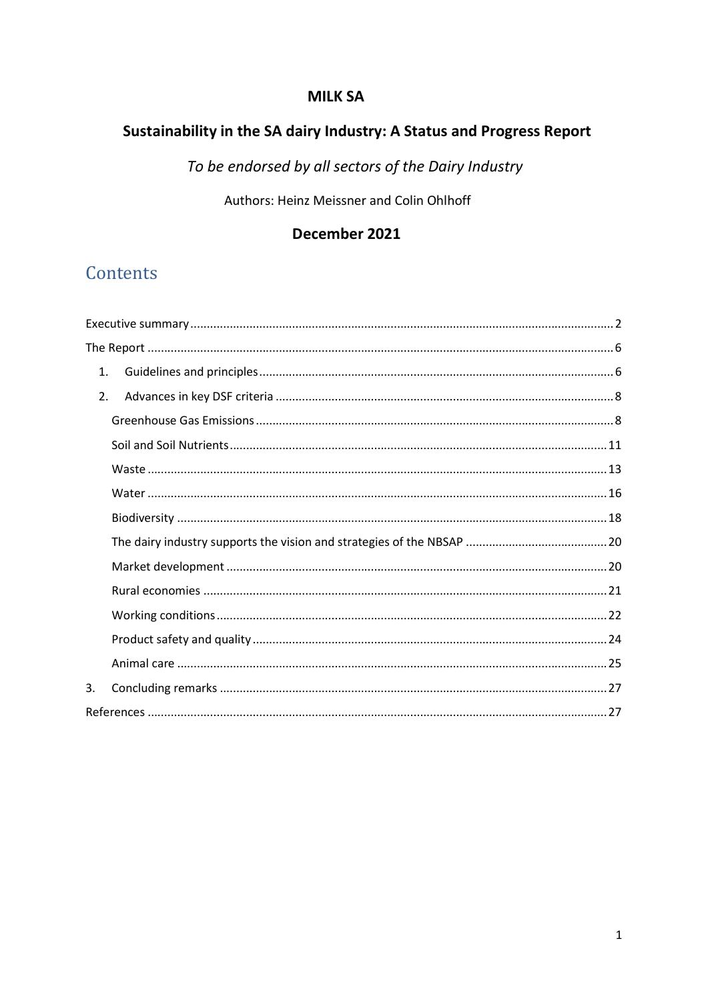## **MILK SA**

# Sustainability in the SA dairy Industry: A Status and Progress Report

To be endorsed by all sectors of the Dairy Industry

Authors: Heinz Meissner and Colin Ohlhoff

## December 2021

# Contents

| 1. |  |
|----|--|
| 2. |  |
|    |  |
|    |  |
|    |  |
|    |  |
|    |  |
|    |  |
|    |  |
|    |  |
|    |  |
|    |  |
|    |  |
| 3. |  |
|    |  |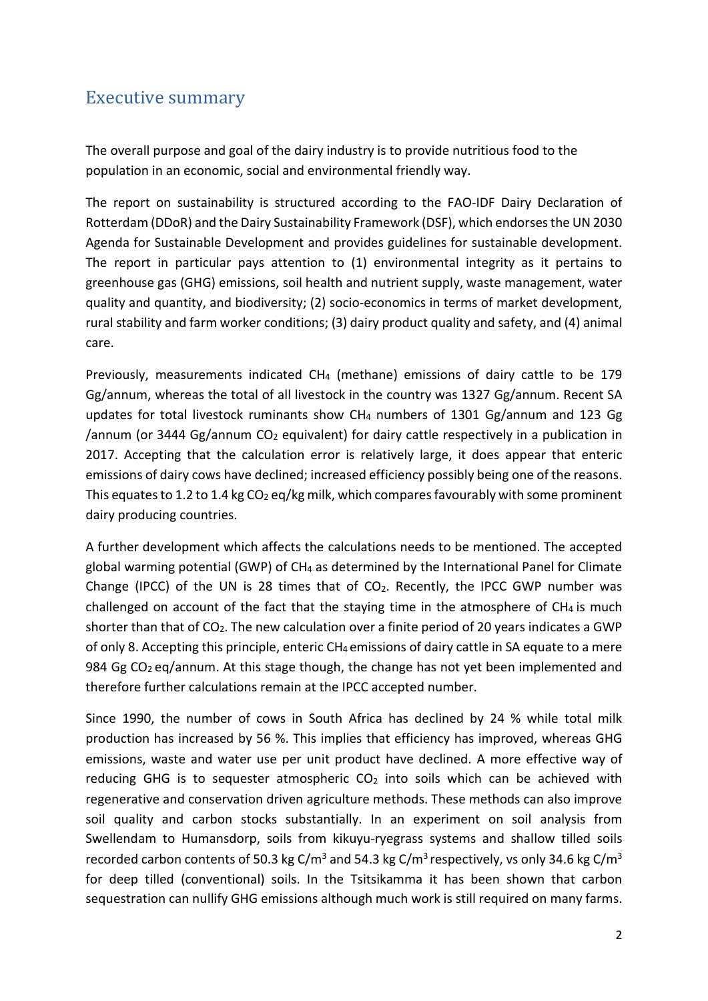## Executive summary

The overall purpose and goal of the dairy industry is to provide nutritious food to the population in an economic, social and environmental friendly way.

The report on sustainability is structured according to the FAO-IDF Dairy Declaration of Rotterdam (DDoR) and the Dairy Sustainability Framework (DSF), which endorses the UN 2030 Agenda for Sustainable Development and provides guidelines for sustainable development. The report in particular pays attention to (1) environmental integrity as it pertains to greenhouse gas (GHG) emissions, soil health and nutrient supply, waste management, water quality and quantity, and biodiversity; (2) socio-economics in terms of market development, rural stability and farm worker conditions; (3) dairy product quality and safety, and (4) animal care.

Previously, measurements indicated CH<sub>4</sub> (methane) emissions of dairy cattle to be 179 Gg/annum, whereas the total of all livestock in the country was 1327 Gg/annum. Recent SA updates for total livestock ruminants show CH4 numbers of 1301 Gg/annum and 123 Gg /annum (or 3444 Gg/annum  $CO<sub>2</sub>$  equivalent) for dairy cattle respectively in a publication in 2017. Accepting that the calculation error is relatively large, it does appear that enteric emissions of dairy cows have declined; increased efficiency possibly being one of the reasons. This equates to 1.2 to 1.4 kg  $CO<sub>2</sub>$  eq/kg milk, which compares favourably with some prominent dairy producing countries.

A further development which affects the calculations needs to be mentioned. The accepted global warming potential (GWP) of CH4 as determined by the International Panel for Climate Change (IPCC) of the UN is 28 times that of  $CO<sub>2</sub>$ . Recently, the IPCC GWP number was challenged on account of the fact that the staying time in the atmosphere of  $CH<sub>4</sub>$  is much shorter than that of CO2. The new calculation over a finite period of 20 years indicates a GWP of only 8. Accepting this principle, enteric CH4 emissions of dairy cattle in SA equate to a mere 984 Gg CO<sub>2</sub> eq/annum. At this stage though, the change has not yet been implemented and therefore further calculations remain at the IPCC accepted number.

Since 1990, the number of cows in South Africa has declined by 24 % while total milk production has increased by 56 %. This implies that efficiency has improved, whereas GHG emissions, waste and water use per unit product have declined. A more effective way of reducing GHG is to sequester atmospheric  $CO<sub>2</sub>$  into soils which can be achieved with regenerative and conservation driven agriculture methods. These methods can also improve soil quality and carbon stocks substantially. In an experiment on soil analysis from Swellendam to Humansdorp, soils from kikuyu-ryegrass systems and shallow tilled soils recorded carbon contents of 50.3 kg C/m<sup>3</sup> and 54.3 kg C/m<sup>3</sup> respectively, vs only 34.6 kg C/m<sup>3</sup> for deep tilled (conventional) soils. In the Tsitsikamma it has been shown that carbon sequestration can nullify GHG emissions although much work is still required on many farms.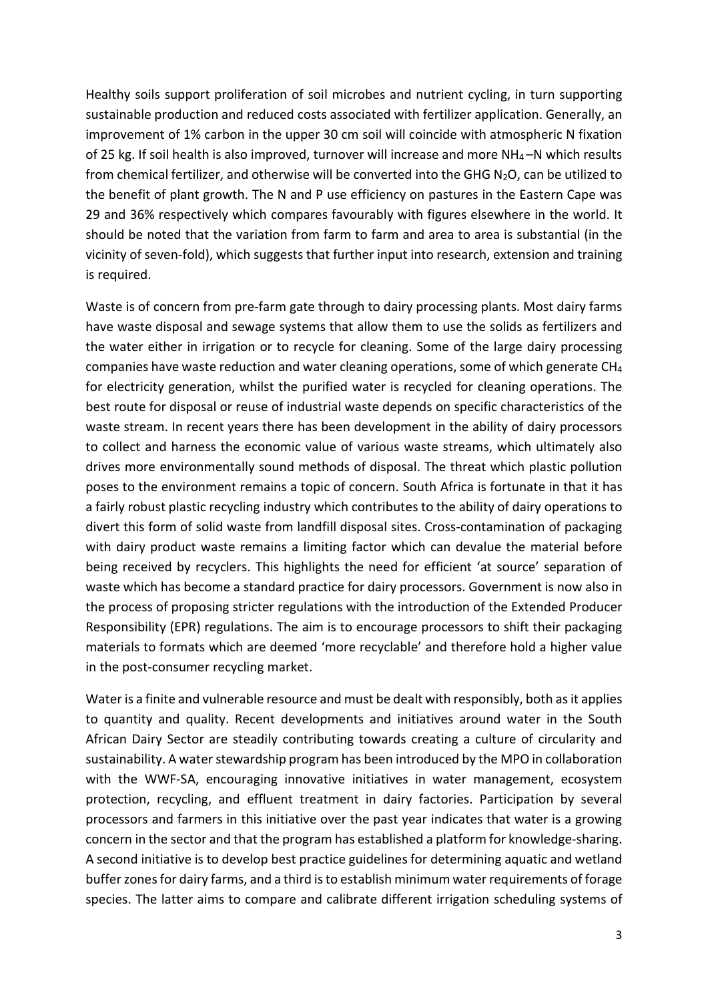Healthy soils support proliferation of soil microbes and nutrient cycling, in turn supporting sustainable production and reduced costs associated with fertilizer application. Generally, an improvement of 1% carbon in the upper 30 cm soil will coincide with atmospheric N fixation of 25 kg. If soil health is also improved, turnover will increase and more  $NH_4$  –N which results from chemical fertilizer, and otherwise will be converted into the GHG  $N_2O$ , can be utilized to the benefit of plant growth. The N and P use efficiency on pastures in the Eastern Cape was 29 and 36% respectively which compares favourably with figures elsewhere in the world. It should be noted that the variation from farm to farm and area to area is substantial (in the vicinity of seven-fold), which suggests that further input into research, extension and training is required.

Waste is of concern from pre-farm gate through to dairy processing plants. Most dairy farms have waste disposal and sewage systems that allow them to use the solids as fertilizers and the water either in irrigation or to recycle for cleaning. Some of the large dairy processing companies have waste reduction and water cleaning operations, some of which generate  $CH<sub>4</sub>$ for electricity generation, whilst the purified water is recycled for cleaning operations. The best route for disposal or reuse of industrial waste depends on specific characteristics of the waste stream. In recent years there has been development in the ability of dairy processors to collect and harness the economic value of various waste streams, which ultimately also drives more environmentally sound methods of disposal. The threat which plastic pollution poses to the environment remains a topic of concern. South Africa is fortunate in that it has a fairly robust plastic recycling industry which contributes to the ability of dairy operations to divert this form of solid waste from landfill disposal sites. Cross-contamination of packaging with dairy product waste remains a limiting factor which can devalue the material before being received by recyclers. This highlights the need for efficient 'at source' separation of waste which has become a standard practice for dairy processors. Government is now also in the process of proposing stricter regulations with the introduction of the Extended Producer Responsibility (EPR) regulations. The aim is to encourage processors to shift their packaging materials to formats which are deemed 'more recyclable' and therefore hold a higher value in the post-consumer recycling market.

Water is a finite and vulnerable resource and must be dealt with responsibly, both as it applies to quantity and quality. Recent developments and initiatives around water in the South African Dairy Sector are steadily contributing towards creating a culture of circularity and sustainability. A water stewardship program has been introduced by the MPO in collaboration with the WWF-SA, encouraging innovative initiatives in water management, ecosystem protection, recycling, and effluent treatment in dairy factories. Participation by several processors and farmers in this initiative over the past year indicates that water is a growing concern in the sector and that the program has established a platform for knowledge-sharing. A second initiative is to develop best practice guidelines for determining aquatic and wetland buffer zones for dairy farms, and a third is to establish minimum water requirements of forage species. The latter aims to compare and calibrate different irrigation scheduling systems of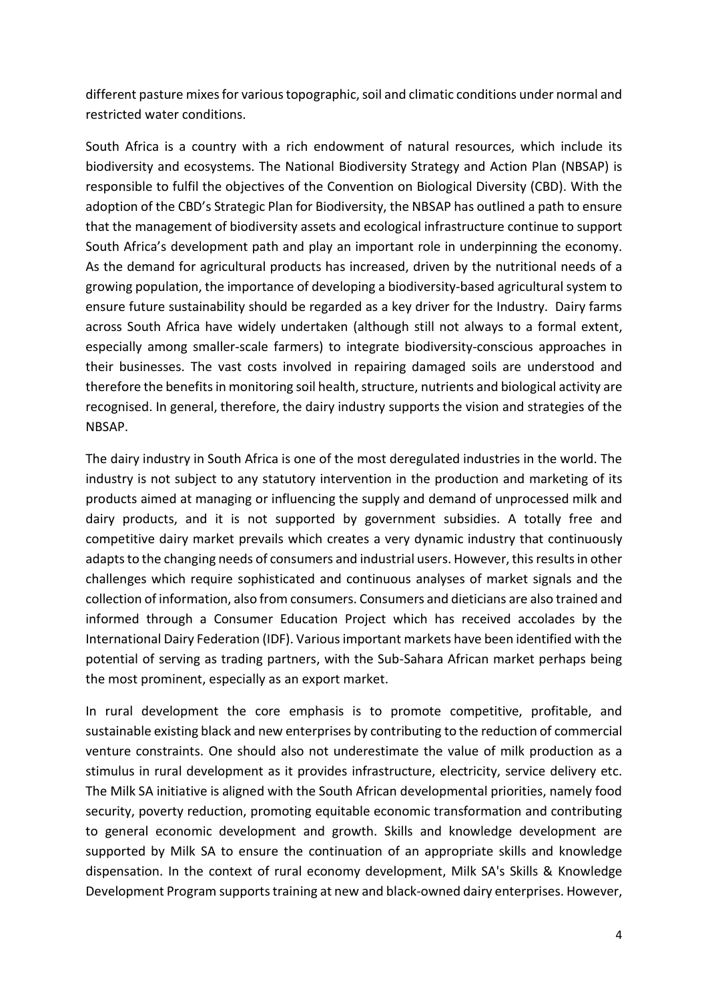different pasture mixes for various topographic, soil and climatic conditions under normal and restricted water conditions.

South Africa is a country with a rich endowment of natural resources, which include its biodiversity and ecosystems. The National Biodiversity Strategy and Action Plan (NBSAP) is responsible to fulfil the objectives of the Convention on Biological Diversity (CBD). With the adoption of the CBD's Strategic Plan for Biodiversity, the NBSAP has outlined a path to ensure that the management of biodiversity assets and ecological infrastructure continue to support South Africa's development path and play an important role in underpinning the economy. As the demand for agricultural products has increased, driven by the nutritional needs of a growing population, the importance of developing a biodiversity-based agricultural system to ensure future sustainability should be regarded as a key driver for the Industry. Dairy farms across South Africa have widely undertaken (although still not always to a formal extent, especially among smaller-scale farmers) to integrate biodiversity-conscious approaches in their businesses. The vast costs involved in repairing damaged soils are understood and therefore the benefits in monitoring soil health, structure, nutrients and biological activity are recognised. In general, therefore, the dairy industry supports the vision and strategies of the NBSAP.

The dairy industry in South Africa is one of the most deregulated industries in the world. The industry is not subject to any statutory intervention in the production and marketing of its products aimed at managing or influencing the supply and demand of unprocessed milk and dairy products, and it is not supported by government subsidies. A totally free and competitive dairy market prevails which creates a very dynamic industry that continuously adapts to the changing needs of consumers and industrial users. However, this results in other challenges which require sophisticated and continuous analyses of market signals and the collection of information, also from consumers. Consumers and dieticians are also trained and informed through a Consumer Education Project which has received accolades by the International Dairy Federation (IDF). Various important markets have been identified with the potential of serving as trading partners, with the Sub-Sahara African market perhaps being the most prominent, especially as an export market.

In rural development the core emphasis is to promote competitive, profitable, and sustainable existing black and new enterprises by contributing to the reduction of commercial venture constraints. One should also not underestimate the value of milk production as a stimulus in rural development as it provides infrastructure, electricity, service delivery etc. The Milk SA initiative is aligned with the South African developmental priorities, namely food security, poverty reduction, promoting equitable economic transformation and contributing to general economic development and growth. Skills and knowledge development are supported by Milk SA to ensure the continuation of an appropriate skills and knowledge dispensation. In the context of rural economy development, Milk SA's Skills & Knowledge Development Program supports training at new and black-owned dairy enterprises. However,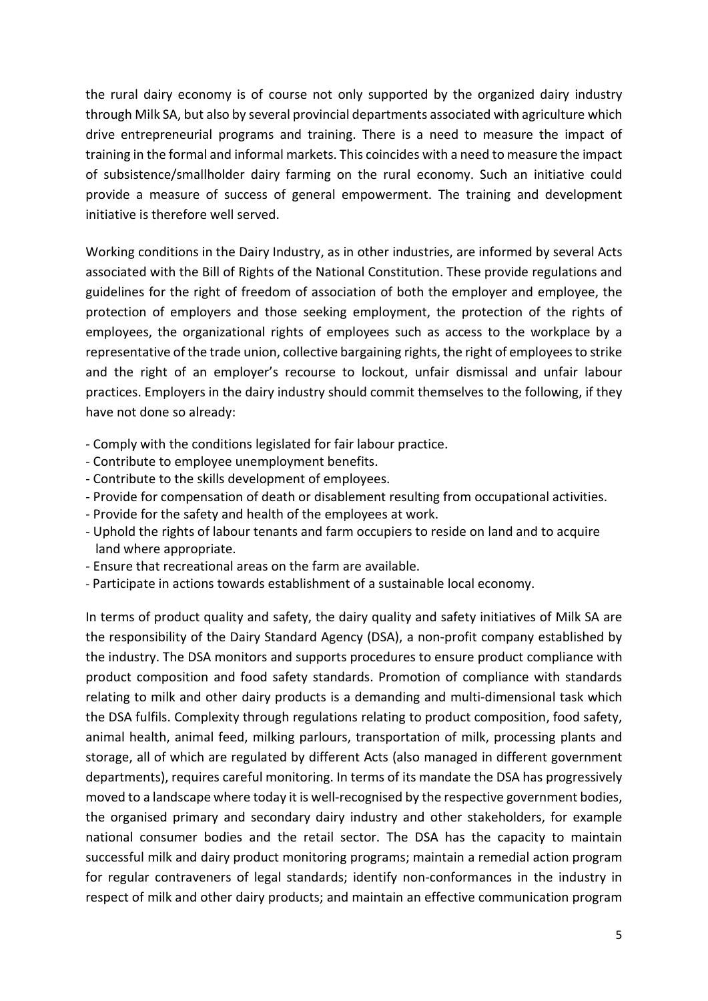the rural dairy economy is of course not only supported by the organized dairy industry through Milk SA, but also by several provincial departments associated with agriculture which drive entrepreneurial programs and training. There is a need to measure the impact of training in the formal and informal markets. This coincides with a need to measure the impact of subsistence/smallholder dairy farming on the rural economy. Such an initiative could provide a measure of success of general empowerment. The training and development initiative is therefore well served.

Working conditions in the Dairy Industry, as in other industries, are informed by several Acts associated with the Bill of Rights of the National Constitution. These provide regulations and guidelines for the right of freedom of association of both the employer and employee, the protection of employers and those seeking employment, the protection of the rights of employees, the organizational rights of employees such as access to the workplace by a representative of the trade union, collective bargaining rights, the right of employees to strike and the right of an employer's recourse to lockout, unfair dismissal and unfair labour practices. Employers in the dairy industry should commit themselves to the following, if they have not done so already:

- Comply with the conditions legislated for fair labour practice.
- Contribute to employee unemployment benefits.
- Contribute to the skills development of employees.
- Provide for compensation of death or disablement resulting from occupational activities.
- Provide for the safety and health of the employees at work.
- Uphold the rights of labour tenants and farm occupiers to reside on land and to acquire land where appropriate.
- Ensure that recreational areas on the farm are available.
- Participate in actions towards establishment of a sustainable local economy.

In terms of product quality and safety, the dairy quality and safety initiatives of Milk SA are the responsibility of the Dairy Standard Agency (DSA), a non-profit company established by the industry. The DSA monitors and supports procedures to ensure product compliance with product composition and food safety standards. Promotion of compliance with standards relating to milk and other dairy products is a demanding and multi-dimensional task which the DSA fulfils. Complexity through regulations relating to product composition, food safety, animal health, animal feed, milking parlours, transportation of milk, processing plants and storage, all of which are regulated by different Acts (also managed in different government departments), requires careful monitoring. In terms of its mandate the DSA has progressively moved to a landscape where today it is well-recognised by the respective government bodies, the organised primary and secondary dairy industry and other stakeholders, for example national consumer bodies and the retail sector. The DSA has the capacity to maintain successful milk and dairy product monitoring programs; maintain a remedial action program for regular contraveners of legal standards; identify non-conformances in the industry in respect of milk and other dairy products; and maintain an effective communication program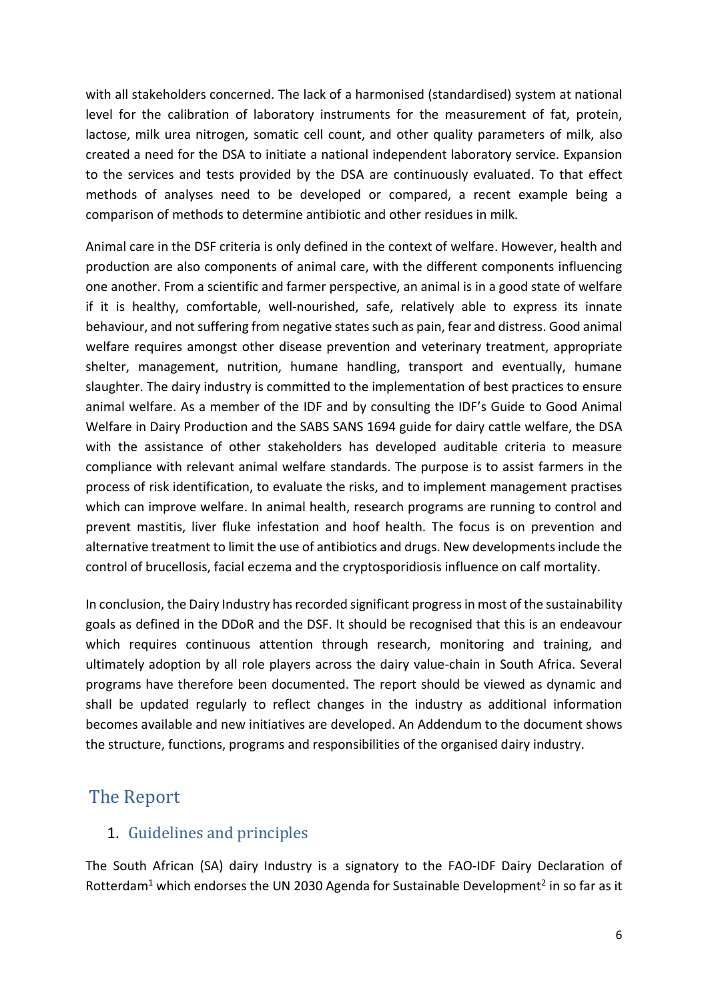with all stakeholders concerned. The lack of a harmonised (standardised) system at national level for the calibration of laboratory instruments for the measurement of fat, protein, lactose, milk urea nitrogen, somatic cell count, and other quality parameters of milk, also created a need for the DSA to initiate a national independent laboratory service. Expansion to the services and tests provided by the DSA are continuously evaluated. To that effect methods of analyses need to be developed or compared, a recent example being a comparison of methods to determine antibiotic and other residues in milk.

Animal care in the DSF criteria is only defined in the context of welfare. However, health and production are also components of animal care, with the different components influencing one another. From a scientific and farmer perspective, an animal is in a good state of welfare if it is healthy, comfortable, well-nourished, safe, relatively able to express its innate behaviour, and not suffering from negative states such as pain, fear and distress. Good animal welfare requires amongst other disease prevention and veterinary treatment, appropriate shelter, management, nutrition, humane handling, transport and eventually, humane slaughter. The dairy industry is committed to the implementation of best practices to ensure animal welfare. As a member of the IDF and by consulting the IDF's Guide to Good Animal Welfare in Dairy Production and the SABS SANS 1694 guide for dairy cattle welfare, the DSA with the assistance of other stakeholders has developed auditable criteria to measure compliance with relevant animal welfare standards. The purpose is to assist farmers in the process of risk identification, to evaluate the risks, and to implement management practises which can improve welfare. In animal health, research programs are running to control and prevent mastitis, liver fluke infestation and hoof health. The focus is on prevention and alternative treatment to limit the use of antibiotics and drugs. New developments include the control of brucellosis, facial eczema and the cryptosporidiosis influence on calf mortality.

In conclusion, the Dairy Industry has recorded significant progress in most of the sustainability goals as defined in the DDoR and the DSF. It should be recognised that this is an endeavour which requires continuous attention through research, monitoring and training, and ultimately adoption by all role players across the dairy value-chain in South Africa. Several programs have therefore been documented. The report should be viewed as dynamic and shall be updated regularly to reflect changes in the industry as additional information becomes available and new initiatives are developed. An Addendum to the document shows the structure, functions, programs and responsibilities of the organised dairy industry.

## The Report

## 1. Guidelines and principles

The South African (SA) dairy Industry is a signatory to the FAO-IDF Dairy Declaration of Rotterdam<sup>1</sup> which endorses the UN 2030 Agenda for Sustainable Development<sup>2</sup> in so far as it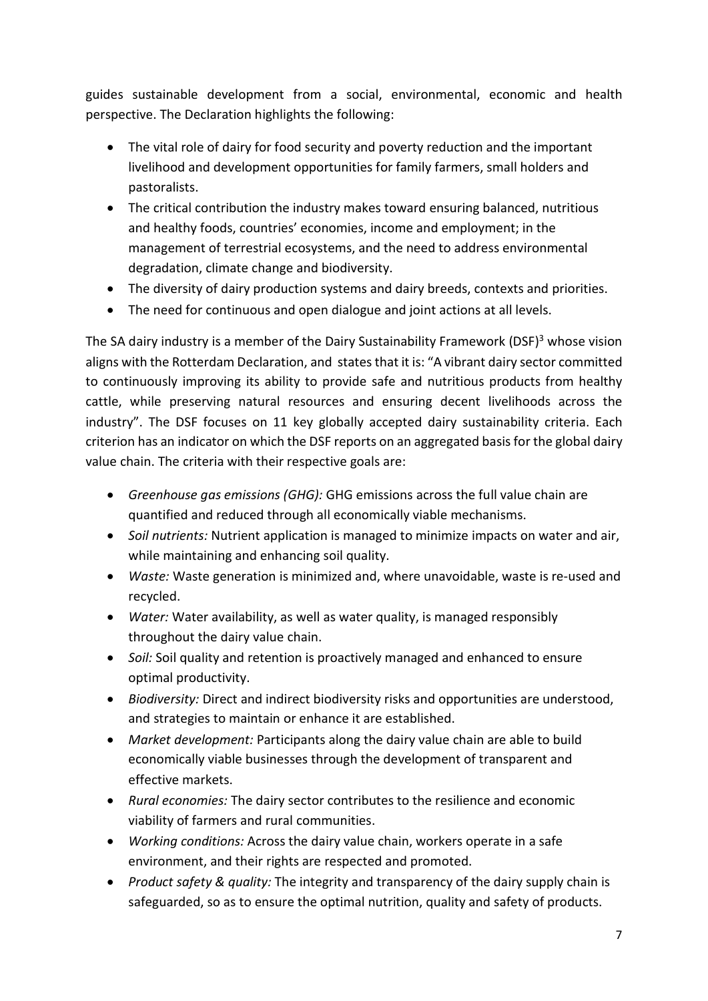guides sustainable development from a social, environmental, economic and health perspective. The Declaration highlights the following:

- The vital role of dairy for food security and poverty reduction and the important livelihood and development opportunities for family farmers, small holders and pastoralists.
- The critical contribution the industry makes toward ensuring balanced, nutritious and healthy foods, countries' economies, income and employment; in the management of terrestrial ecosystems, and the need to address environmental degradation, climate change and biodiversity.
- The diversity of dairy production systems and dairy breeds, contexts and priorities.
- The need for continuous and open dialogue and joint actions at all levels.

The SA dairy industry is a member of the Dairy Sustainability Framework (DSF)<sup>3</sup> whose vision aligns with the Rotterdam Declaration, and states that it is: "A vibrant dairy sector committed to continuously improving its ability to provide safe and nutritious products from healthy cattle, while preserving natural resources and ensuring decent livelihoods across the industry". The DSF focuses on 11 key globally accepted dairy sustainability criteria. Each criterion has an indicator on which the DSF reports on an aggregated basis for the global dairy value chain. The criteria with their respective goals are:

- Greenhouse gas emissions (GHG): GHG emissions across the full value chain are quantified and reduced through all economically viable mechanisms.
- Soil nutrients: Nutrient application is managed to minimize impacts on water and air, while maintaining and enhancing soil quality.
- Waste: Waste generation is minimized and, where unavoidable, waste is re-used and recycled.
- Water: Water availability, as well as water quality, is managed responsibly throughout the dairy value chain.
- Soil: Soil quality and retention is proactively managed and enhanced to ensure optimal productivity.
- Biodiversity: Direct and indirect biodiversity risks and opportunities are understood, and strategies to maintain or enhance it are established.
- Market development: Participants along the dairy value chain are able to build economically viable businesses through the development of transparent and effective markets.
- Rural economies: The dairy sector contributes to the resilience and economic viability of farmers and rural communities.
- Working conditions: Across the dairy value chain, workers operate in a safe environment, and their rights are respected and promoted.
- Product safety & quality: The integrity and transparency of the dairy supply chain is safeguarded, so as to ensure the optimal nutrition, quality and safety of products.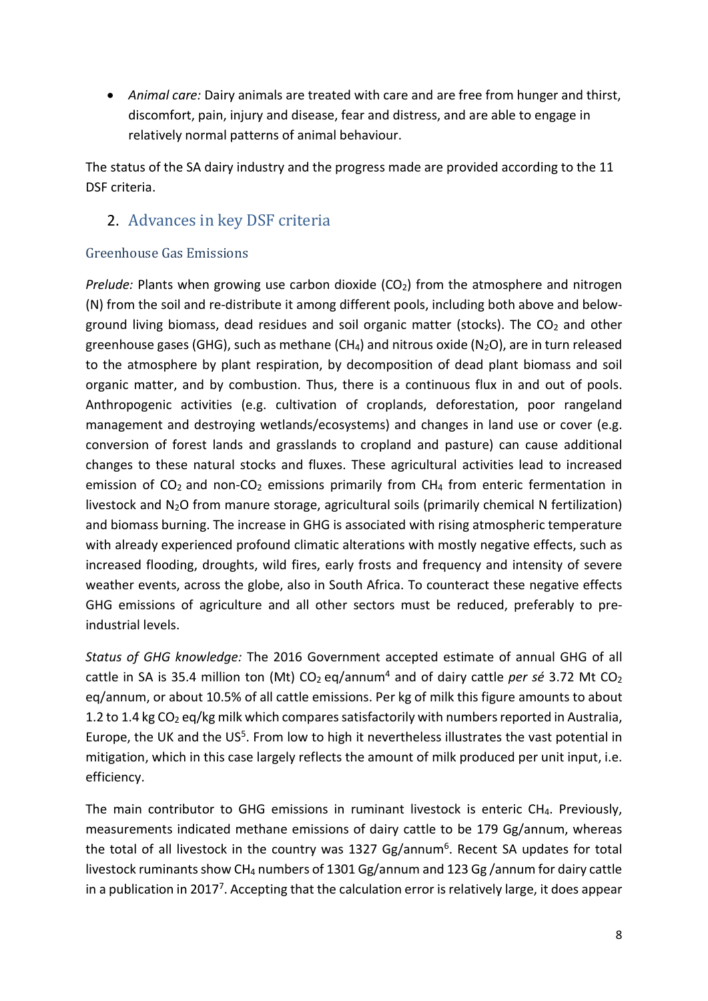Animal care: Dairy animals are treated with care and are free from hunger and thirst, discomfort, pain, injury and disease, fear and distress, and are able to engage in relatively normal patterns of animal behaviour.

The status of the SA dairy industry and the progress made are provided according to the 11 DSF criteria.

## 2. Advances in key DSF criteria

## Greenhouse Gas Emissions

Prelude: Plants when growing use carbon dioxide  $(CO<sub>2</sub>)$  from the atmosphere and nitrogen (N) from the soil and re-distribute it among different pools, including both above and belowground living biomass, dead residues and soil organic matter (stocks). The  $CO<sub>2</sub>$  and other greenhouse gases (GHG), such as methane (CH<sub>4</sub>) and nitrous oxide (N<sub>2</sub>O), are in turn released to the atmosphere by plant respiration, by decomposition of dead plant biomass and soil organic matter, and by combustion. Thus, there is a continuous flux in and out of pools. Anthropogenic activities (e.g. cultivation of croplands, deforestation, poor rangeland management and destroying wetlands/ecosystems) and changes in land use or cover (e.g. conversion of forest lands and grasslands to cropland and pasture) can cause additional changes to these natural stocks and fluxes. These agricultural activities lead to increased emission of  $CO<sub>2</sub>$  and non- $CO<sub>2</sub>$  emissions primarily from  $CH<sub>4</sub>$  from enteric fermentation in livestock and N2O from manure storage, agricultural soils (primarily chemical N fertilization) and biomass burning. The increase in GHG is associated with rising atmospheric temperature with already experienced profound climatic alterations with mostly negative effects, such as increased flooding, droughts, wild fires, early frosts and frequency and intensity of severe weather events, across the globe, also in South Africa. To counteract these negative effects GHG emissions of agriculture and all other sectors must be reduced, preferably to preindustrial levels.

Status of GHG knowledge: The 2016 Government accepted estimate of annual GHG of all cattle in SA is 35.4 million ton (Mt)  $CO<sub>2</sub>$  eq/annum<sup>4</sup> and of dairy cattle per sé 3.72 Mt  $CO<sub>2</sub>$ eq/annum, or about 10.5% of all cattle emissions. Per kg of milk this figure amounts to about 1.2 to 1.4 kg  $CO<sub>2</sub>$  eq/kg milk which compares satisfactorily with numbers reported in Australia, Europe, the UK and the US<sup>5</sup>. From low to high it nevertheless illustrates the vast potential in mitigation, which in this case largely reflects the amount of milk produced per unit input, i.e. efficiency.

The main contributor to GHG emissions in ruminant livestock is enteric CH4. Previously, measurements indicated methane emissions of dairy cattle to be 179 Gg/annum, whereas the total of all livestock in the country was 1327 Gg/annum<sup>6</sup>. Recent SA updates for total livestock ruminants show CH4 numbers of 1301 Gg/annum and 123 Gg /annum for dairy cattle in a publication in 2017<sup>7</sup>. Accepting that the calculation error is relatively large, it does appear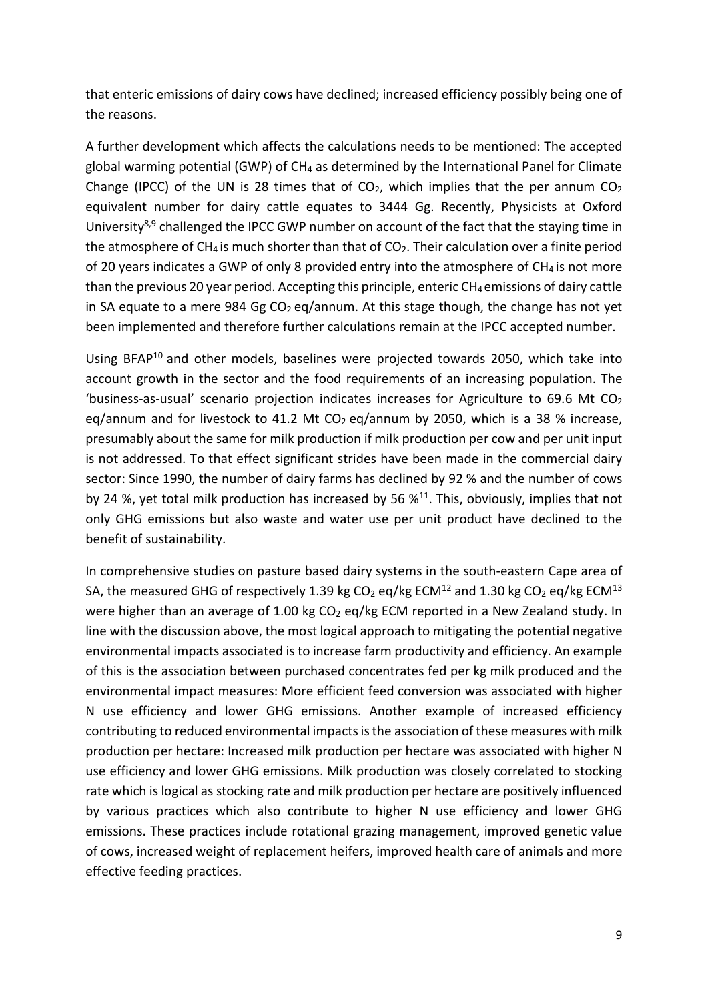that enteric emissions of dairy cows have declined; increased efficiency possibly being one of the reasons.

A further development which affects the calculations needs to be mentioned: The accepted global warming potential (GWP) of CH4 as determined by the International Panel for Climate Change (IPCC) of the UN is 28 times that of  $CO<sub>2</sub>$ , which implies that the per annum  $CO<sub>2</sub>$ equivalent number for dairy cattle equates to 3444 Gg. Recently, Physicists at Oxford University<sup>8,9</sup> challenged the IPCC GWP number on account of the fact that the staying time in the atmosphere of CH<sub>4</sub> is much shorter than that of CO<sub>2</sub>. Their calculation over a finite period of 20 years indicates a GWP of only 8 provided entry into the atmosphere of  $CH_4$  is not more than the previous 20 year period. Accepting this principle, enteric  $CH_4$  emissions of dairy cattle in SA equate to a mere 984 Gg  $CO<sub>2</sub>$  eq/annum. At this stage though, the change has not yet been implemented and therefore further calculations remain at the IPCC accepted number.

Using BFAP<sup>10</sup> and other models, baselines were projected towards 2050, which take into account growth in the sector and the food requirements of an increasing population. The 'business-as-usual' scenario projection indicates increases for Agriculture to 69.6 Mt  $CO<sub>2</sub>$ eq/annum and for livestock to 41.2 Mt  $CO<sub>2</sub>$  eq/annum by 2050, which is a 38 % increase, presumably about the same for milk production if milk production per cow and per unit input is not addressed. To that effect significant strides have been made in the commercial dairy sector: Since 1990, the number of dairy farms has declined by 92 % and the number of cows by 24 %, yet total milk production has increased by 56  $\frac{11}{1}$ . This, obviously, implies that not only GHG emissions but also waste and water use per unit product have declined to the benefit of sustainability.

In comprehensive studies on pasture based dairy systems in the south-eastern Cape area of SA, the measured GHG of respectively 1.39 kg  $CO<sub>2</sub>$  eq/kg ECM<sup>12</sup> and 1.30 kg  $CO<sub>2</sub>$  eq/kg ECM<sup>13</sup> were higher than an average of 1.00 kg  $CO<sub>2</sub>$  eq/kg ECM reported in a New Zealand study. In line with the discussion above, the most logical approach to mitigating the potential negative environmental impacts associated is to increase farm productivity and efficiency. An example of this is the association between purchased concentrates fed per kg milk produced and the environmental impact measures: More efficient feed conversion was associated with higher N use efficiency and lower GHG emissions. Another example of increased efficiency contributing to reduced environmental impacts is the association of these measures with milk production per hectare: Increased milk production per hectare was associated with higher N use efficiency and lower GHG emissions. Milk production was closely correlated to stocking rate which is logical as stocking rate and milk production per hectare are positively influenced by various practices which also contribute to higher N use efficiency and lower GHG emissions. These practices include rotational grazing management, improved genetic value of cows, increased weight of replacement heifers, improved health care of animals and more effective feeding practices.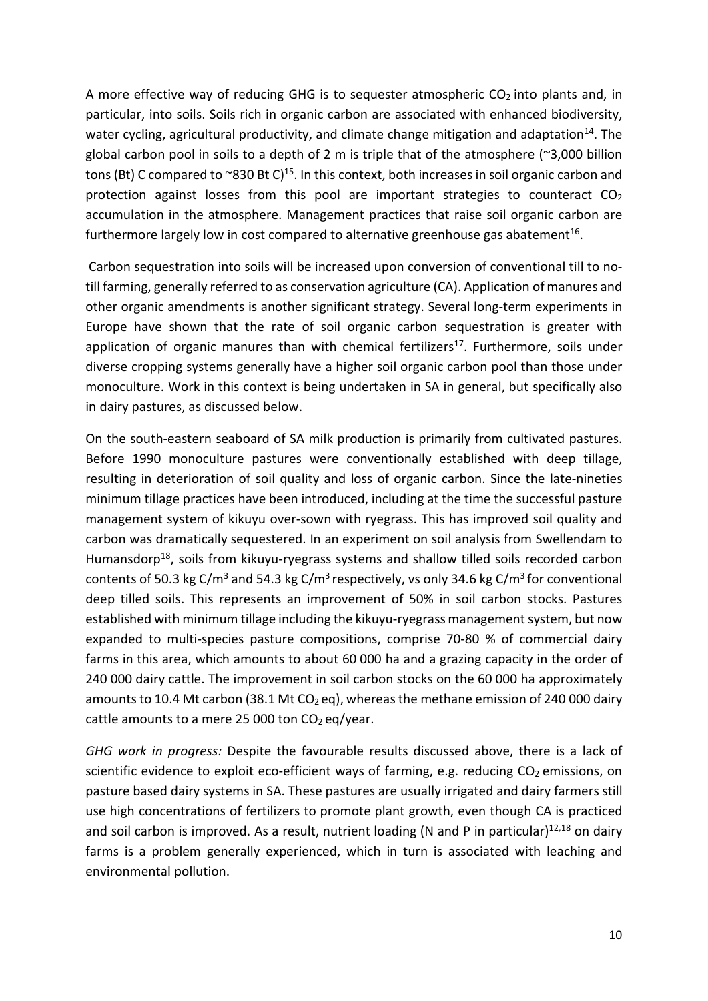A more effective way of reducing GHG is to sequester atmospheric  $CO<sub>2</sub>$  into plants and, in particular, into soils. Soils rich in organic carbon are associated with enhanced biodiversity, water cycling, agricultural productivity, and climate change mitigation and adaptation<sup>14</sup>. The global carbon pool in soils to a depth of 2 m is triple that of the atmosphere  $(2,000)$  billion tons (Bt) C compared to ~830 Bt C)<sup>15</sup>. In this context, both increases in soil organic carbon and protection against losses from this pool are important strategies to counteract  $CO<sub>2</sub>$ accumulation in the atmosphere. Management practices that raise soil organic carbon are furthermore largely low in cost compared to alternative greenhouse gas abatement<sup>16</sup>.

 Carbon sequestration into soils will be increased upon conversion of conventional till to notill farming, generally referred to as conservation agriculture (CA). Application of manures and other organic amendments is another significant strategy. Several long-term experiments in Europe have shown that the rate of soil organic carbon sequestration is greater with application of organic manures than with chemical fertilizers<sup>17</sup>. Furthermore, soils under diverse cropping systems generally have a higher soil organic carbon pool than those under monoculture. Work in this context is being undertaken in SA in general, but specifically also in dairy pastures, as discussed below.

On the south-eastern seaboard of SA milk production is primarily from cultivated pastures. Before 1990 monoculture pastures were conventionally established with deep tillage, resulting in deterioration of soil quality and loss of organic carbon. Since the late-nineties minimum tillage practices have been introduced, including at the time the successful pasture management system of kikuyu over-sown with ryegrass. This has improved soil quality and carbon was dramatically sequestered. In an experiment on soil analysis from Swellendam to Humansdorp<sup>18</sup>, soils from kikuyu-ryegrass systems and shallow tilled soils recorded carbon contents of 50.3 kg C/m<sup>3</sup> and 54.3 kg C/m<sup>3</sup> respectively, vs only 34.6 kg C/m<sup>3</sup> for conventional deep tilled soils. This represents an improvement of 50% in soil carbon stocks. Pastures established with minimum tillage including the kikuyu-ryegrass management system, but now expanded to multi-species pasture compositions, comprise 70-80 % of commercial dairy farms in this area, which amounts to about 60 000 ha and a grazing capacity in the order of 240 000 dairy cattle. The improvement in soil carbon stocks on the 60 000 ha approximately amounts to 10.4 Mt carbon (38.1 Mt CO<sub>2</sub> eq), whereas the methane emission of 240 000 dairy cattle amounts to a mere 25 000 ton  $CO<sub>2</sub>$  eq/year.

GHG work in progress: Despite the favourable results discussed above, there is a lack of scientific evidence to exploit eco-efficient ways of farming, e.g. reducing  $CO<sub>2</sub>$  emissions, on pasture based dairy systems in SA. These pastures are usually irrigated and dairy farmers still use high concentrations of fertilizers to promote plant growth, even though CA is practiced and soil carbon is improved. As a result, nutrient loading (N and P in particular) $^{12,18}$  on dairy farms is a problem generally experienced, which in turn is associated with leaching and environmental pollution.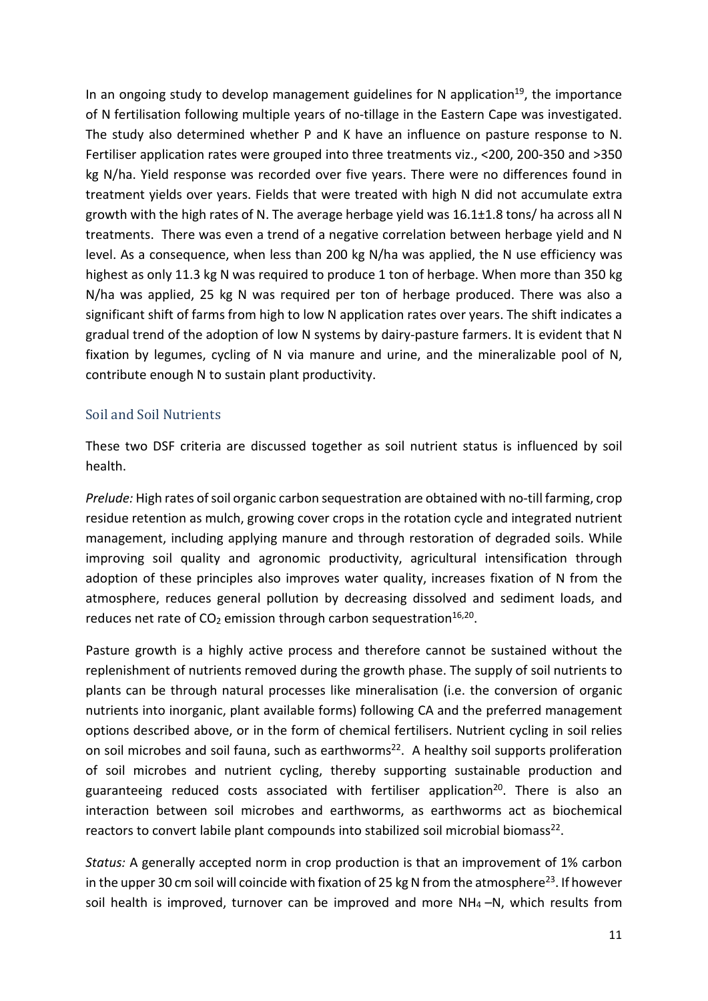In an ongoing study to develop management guidelines for N application<sup>19</sup>, the importance of N fertilisation following multiple years of no-tillage in the Eastern Cape was investigated. The study also determined whether P and K have an influence on pasture response to N. Fertiliser application rates were grouped into three treatments viz., <200, 200-350 and >350 kg N/ha. Yield response was recorded over five years. There were no differences found in treatment yields over years. Fields that were treated with high N did not accumulate extra growth with the high rates of N. The average herbage yield was 16.1±1.8 tons/ ha across all N treatments. There was even a trend of a negative correlation between herbage yield and N level. As a consequence, when less than 200 kg N/ha was applied, the N use efficiency was highest as only 11.3 kg N was required to produce 1 ton of herbage. When more than 350 kg N/ha was applied, 25 kg N was required per ton of herbage produced. There was also a significant shift of farms from high to low N application rates over years. The shift indicates a gradual trend of the adoption of low N systems by dairy-pasture farmers. It is evident that N fixation by legumes, cycling of N via manure and urine, and the mineralizable pool of N, contribute enough N to sustain plant productivity.

## Soil and Soil Nutrients

These two DSF criteria are discussed together as soil nutrient status is influenced by soil health.

Prelude: High rates of soil organic carbon sequestration are obtained with no-till farming, crop residue retention as mulch, growing cover crops in the rotation cycle and integrated nutrient management, including applying manure and through restoration of degraded soils. While improving soil quality and agronomic productivity, agricultural intensification through adoption of these principles also improves water quality, increases fixation of N from the atmosphere, reduces general pollution by decreasing dissolved and sediment loads, and reduces net rate of  $CO<sub>2</sub>$  emission through carbon sequestration<sup>16,20</sup>.

Pasture growth is a highly active process and therefore cannot be sustained without the replenishment of nutrients removed during the growth phase. The supply of soil nutrients to plants can be through natural processes like mineralisation (i.e. the conversion of organic nutrients into inorganic, plant available forms) following CA and the preferred management options described above, or in the form of chemical fertilisers. Nutrient cycling in soil relies on soil microbes and soil fauna, such as earthworms<sup>22</sup>. A healthy soil supports proliferation of soil microbes and nutrient cycling, thereby supporting sustainable production and guaranteeing reduced costs associated with fertiliser application<sup>20</sup>. There is also an interaction between soil microbes and earthworms, as earthworms act as biochemical reactors to convert labile plant compounds into stabilized soil microbial biomass<sup>22</sup>.

Status: A generally accepted norm in crop production is that an improvement of 1% carbon in the upper 30 cm soil will coincide with fixation of 25 kg N from the atmosphere<sup>23</sup>. If however soil health is improved, turnover can be improved and more  $NH_4$  -N, which results from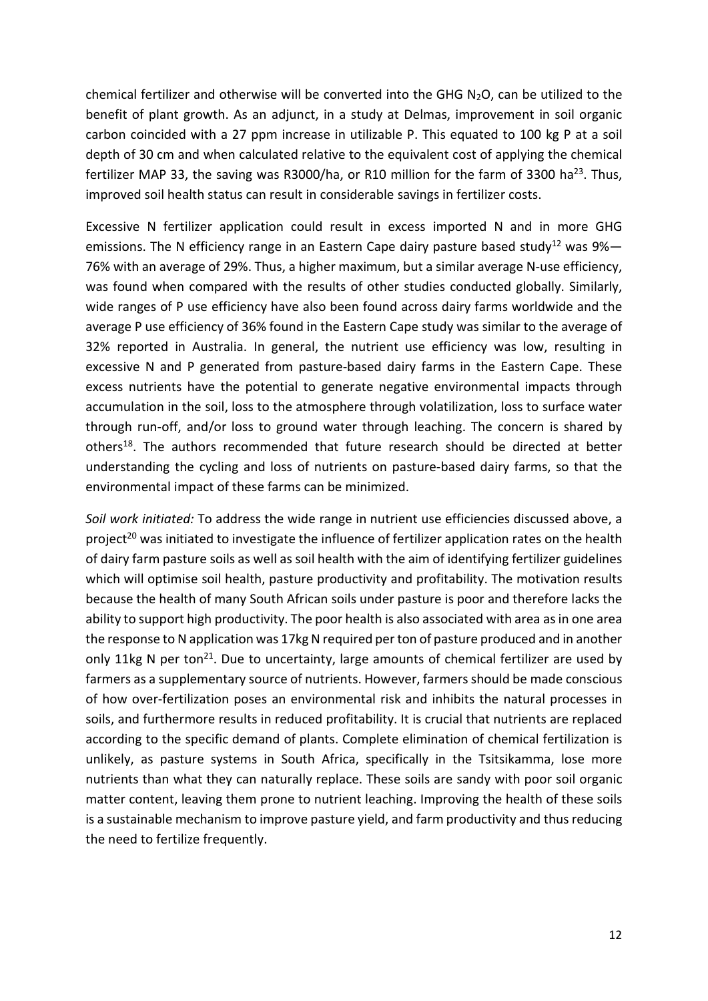chemical fertilizer and otherwise will be converted into the GHG  $N_2O$ , can be utilized to the benefit of plant growth. As an adjunct, in a study at Delmas, improvement in soil organic carbon coincided with a 27 ppm increase in utilizable P. This equated to 100 kg P at a soil depth of 30 cm and when calculated relative to the equivalent cost of applying the chemical fertilizer MAP 33, the saving was R3000/ha, or R10 million for the farm of 3300 ha<sup>23</sup>. Thus, improved soil health status can result in considerable savings in fertilizer costs.

Excessive N fertilizer application could result in excess imported N and in more GHG emissions. The N efficiency range in an Eastern Cape dairy pasture based study<sup>12</sup> was 9%— 76% with an average of 29%. Thus, a higher maximum, but a similar average N-use efficiency, was found when compared with the results of other studies conducted globally. Similarly, wide ranges of P use efficiency have also been found across dairy farms worldwide and the average P use efficiency of 36% found in the Eastern Cape study was similar to the average of 32% reported in Australia. In general, the nutrient use efficiency was low, resulting in excessive N and P generated from pasture-based dairy farms in the Eastern Cape. These excess nutrients have the potential to generate negative environmental impacts through accumulation in the soil, loss to the atmosphere through volatilization, loss to surface water through run-off, and/or loss to ground water through leaching. The concern is shared by others<sup>18</sup>. The authors recommended that future research should be directed at better understanding the cycling and loss of nutrients on pasture-based dairy farms, so that the environmental impact of these farms can be minimized.

Soil work initiated: To address the wide range in nutrient use efficiencies discussed above, a project<sup>20</sup> was initiated to investigate the influence of fertilizer application rates on the health of dairy farm pasture soils as well as soil health with the aim of identifying fertilizer guidelines which will optimise soil health, pasture productivity and profitability. The motivation results because the health of many South African soils under pasture is poor and therefore lacks the ability to support high productivity. The poor health is also associated with area as in one area the response to N application was 17kg N required per ton of pasture produced and in another only 11kg N per ton<sup>21</sup>. Due to uncertainty, large amounts of chemical fertilizer are used by farmers as a supplementary source of nutrients. However, farmers should be made conscious of how over-fertilization poses an environmental risk and inhibits the natural processes in soils, and furthermore results in reduced profitability. It is crucial that nutrients are replaced according to the specific demand of plants. Complete elimination of chemical fertilization is unlikely, as pasture systems in South Africa, specifically in the Tsitsikamma, lose more nutrients than what they can naturally replace. These soils are sandy with poor soil organic matter content, leaving them prone to nutrient leaching. Improving the health of these soils is a sustainable mechanism to improve pasture yield, and farm productivity and thus reducing the need to fertilize frequently.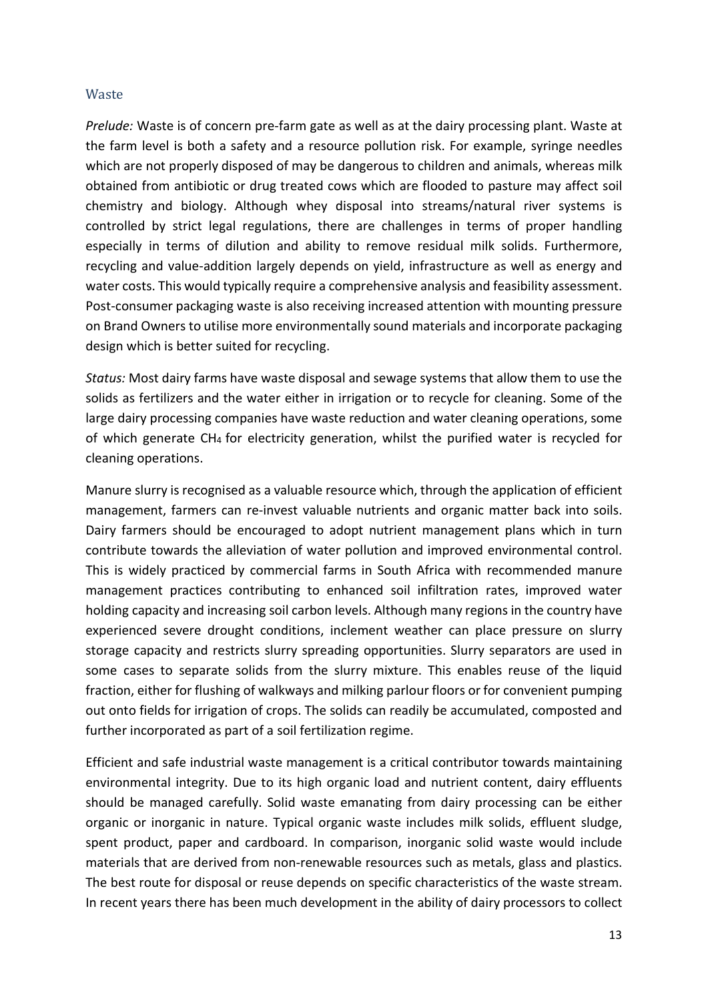#### **Waste**

Prelude: Waste is of concern pre-farm gate as well as at the dairy processing plant. Waste at the farm level is both a safety and a resource pollution risk. For example, syringe needles which are not properly disposed of may be dangerous to children and animals, whereas milk obtained from antibiotic or drug treated cows which are flooded to pasture may affect soil chemistry and biology. Although whey disposal into streams/natural river systems is controlled by strict legal regulations, there are challenges in terms of proper handling especially in terms of dilution and ability to remove residual milk solids. Furthermore, recycling and value-addition largely depends on yield, infrastructure as well as energy and water costs. This would typically require a comprehensive analysis and feasibility assessment. Post-consumer packaging waste is also receiving increased attention with mounting pressure on Brand Owners to utilise more environmentally sound materials and incorporate packaging design which is better suited for recycling.

Status: Most dairy farms have waste disposal and sewage systems that allow them to use the solids as fertilizers and the water either in irrigation or to recycle for cleaning. Some of the large dairy processing companies have waste reduction and water cleaning operations, some of which generate CH4 for electricity generation, whilst the purified water is recycled for cleaning operations.

Manure slurry is recognised as a valuable resource which, through the application of efficient management, farmers can re-invest valuable nutrients and organic matter back into soils. Dairy farmers should be encouraged to adopt nutrient management plans which in turn contribute towards the alleviation of water pollution and improved environmental control. This is widely practiced by commercial farms in South Africa with recommended manure management practices contributing to enhanced soil infiltration rates, improved water holding capacity and increasing soil carbon levels. Although many regions in the country have experienced severe drought conditions, inclement weather can place pressure on slurry storage capacity and restricts slurry spreading opportunities. Slurry separators are used in some cases to separate solids from the slurry mixture. This enables reuse of the liquid fraction, either for flushing of walkways and milking parlour floors or for convenient pumping out onto fields for irrigation of crops. The solids can readily be accumulated, composted and further incorporated as part of a soil fertilization regime.

Efficient and safe industrial waste management is a critical contributor towards maintaining environmental integrity. Due to its high organic load and nutrient content, dairy effluents should be managed carefully. Solid waste emanating from dairy processing can be either organic or inorganic in nature. Typical organic waste includes milk solids, effluent sludge, spent product, paper and cardboard. In comparison, inorganic solid waste would include materials that are derived from non-renewable resources such as metals, glass and plastics. The best route for disposal or reuse depends on specific characteristics of the waste stream. In recent years there has been much development in the ability of dairy processors to collect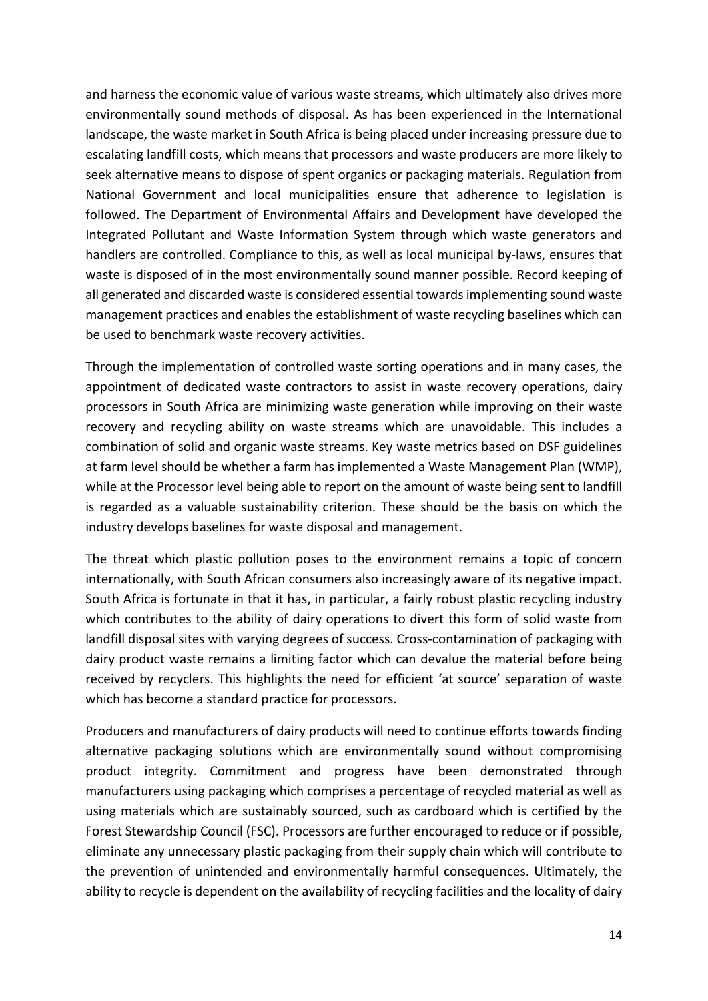and harness the economic value of various waste streams, which ultimately also drives more environmentally sound methods of disposal. As has been experienced in the International landscape, the waste market in South Africa is being placed under increasing pressure due to escalating landfill costs, which means that processors and waste producers are more likely to seek alternative means to dispose of spent organics or packaging materials. Regulation from National Government and local municipalities ensure that adherence to legislation is followed. The Department of Environmental Affairs and Development have developed the Integrated Pollutant and Waste Information System through which waste generators and handlers are controlled. Compliance to this, as well as local municipal by-laws, ensures that waste is disposed of in the most environmentally sound manner possible. Record keeping of all generated and discarded waste is considered essential towards implementing sound waste management practices and enables the establishment of waste recycling baselines which can be used to benchmark waste recovery activities.

Through the implementation of controlled waste sorting operations and in many cases, the appointment of dedicated waste contractors to assist in waste recovery operations, dairy processors in South Africa are minimizing waste generation while improving on their waste recovery and recycling ability on waste streams which are unavoidable. This includes a combination of solid and organic waste streams. Key waste metrics based on DSF guidelines at farm level should be whether a farm has implemented a Waste Management Plan (WMP), while at the Processor level being able to report on the amount of waste being sent to landfill is regarded as a valuable sustainability criterion. These should be the basis on which the industry develops baselines for waste disposal and management.

The threat which plastic pollution poses to the environment remains a topic of concern internationally, with South African consumers also increasingly aware of its negative impact. South Africa is fortunate in that it has, in particular, a fairly robust plastic recycling industry which contributes to the ability of dairy operations to divert this form of solid waste from landfill disposal sites with varying degrees of success. Cross-contamination of packaging with dairy product waste remains a limiting factor which can devalue the material before being received by recyclers. This highlights the need for efficient 'at source' separation of waste which has become a standard practice for processors.

Producers and manufacturers of dairy products will need to continue efforts towards finding alternative packaging solutions which are environmentally sound without compromising product integrity. Commitment and progress have been demonstrated through manufacturers using packaging which comprises a percentage of recycled material as well as using materials which are sustainably sourced, such as cardboard which is certified by the Forest Stewardship Council (FSC). Processors are further encouraged to reduce or if possible, eliminate any unnecessary plastic packaging from their supply chain which will contribute to the prevention of unintended and environmentally harmful consequences. Ultimately, the ability to recycle is dependent on the availability of recycling facilities and the locality of dairy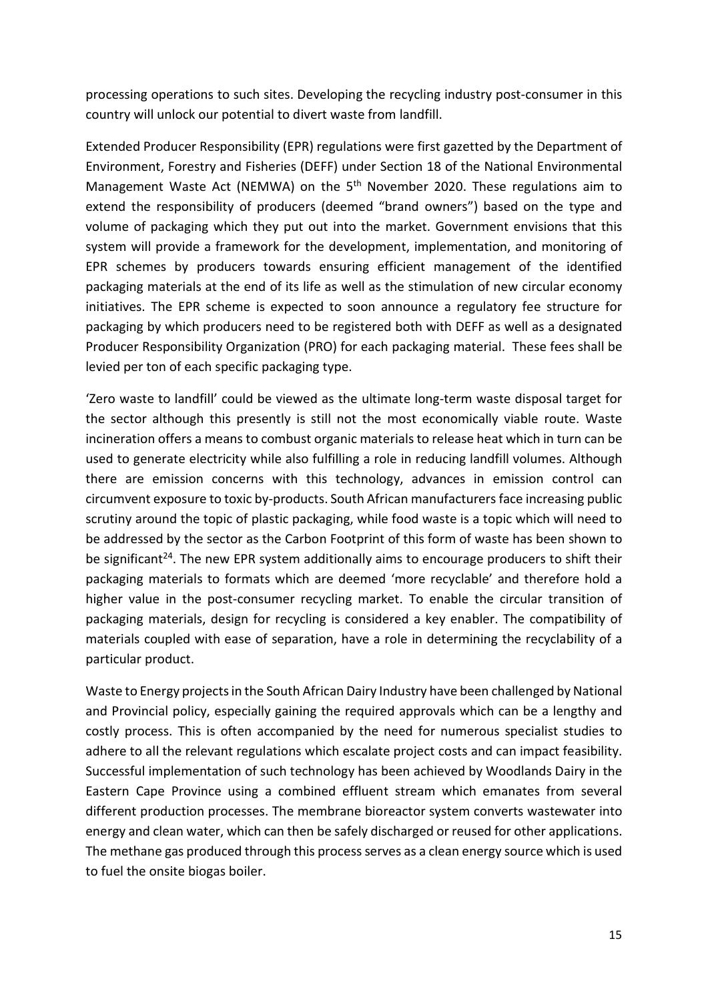processing operations to such sites. Developing the recycling industry post-consumer in this country will unlock our potential to divert waste from landfill.

Extended Producer Responsibility (EPR) regulations were first gazetted by the Department of Environment, Forestry and Fisheries (DEFF) under Section 18 of the National Environmental Management Waste Act (NEMWA) on the 5<sup>th</sup> November 2020. These regulations aim to extend the responsibility of producers (deemed "brand owners") based on the type and volume of packaging which they put out into the market. Government envisions that this system will provide a framework for the development, implementation, and monitoring of EPR schemes by producers towards ensuring efficient management of the identified packaging materials at the end of its life as well as the stimulation of new circular economy initiatives. The EPR scheme is expected to soon announce a regulatory fee structure for packaging by which producers need to be registered both with DEFF as well as a designated Producer Responsibility Organization (PRO) for each packaging material. These fees shall be levied per ton of each specific packaging type.

'Zero waste to landfill' could be viewed as the ultimate long-term waste disposal target for the sector although this presently is still not the most economically viable route. Waste incineration offers a means to combust organic materials to release heat which in turn can be used to generate electricity while also fulfilling a role in reducing landfill volumes. Although there are emission concerns with this technology, advances in emission control can circumvent exposure to toxic by-products. South African manufacturers face increasing public scrutiny around the topic of plastic packaging, while food waste is a topic which will need to be addressed by the sector as the Carbon Footprint of this form of waste has been shown to be significant<sup>24</sup>. The new EPR system additionally aims to encourage producers to shift their packaging materials to formats which are deemed 'more recyclable' and therefore hold a higher value in the post-consumer recycling market. To enable the circular transition of packaging materials, design for recycling is considered a key enabler. The compatibility of materials coupled with ease of separation, have a role in determining the recyclability of a particular product.

Waste to Energy projects in the South African Dairy Industry have been challenged by National and Provincial policy, especially gaining the required approvals which can be a lengthy and costly process. This is often accompanied by the need for numerous specialist studies to adhere to all the relevant regulations which escalate project costs and can impact feasibility. Successful implementation of such technology has been achieved by Woodlands Dairy in the Eastern Cape Province using a combined effluent stream which emanates from several different production processes. The membrane bioreactor system converts wastewater into energy and clean water, which can then be safely discharged or reused for other applications. The methane gas produced through this process serves as a clean energy source which is used to fuel the onsite biogas boiler.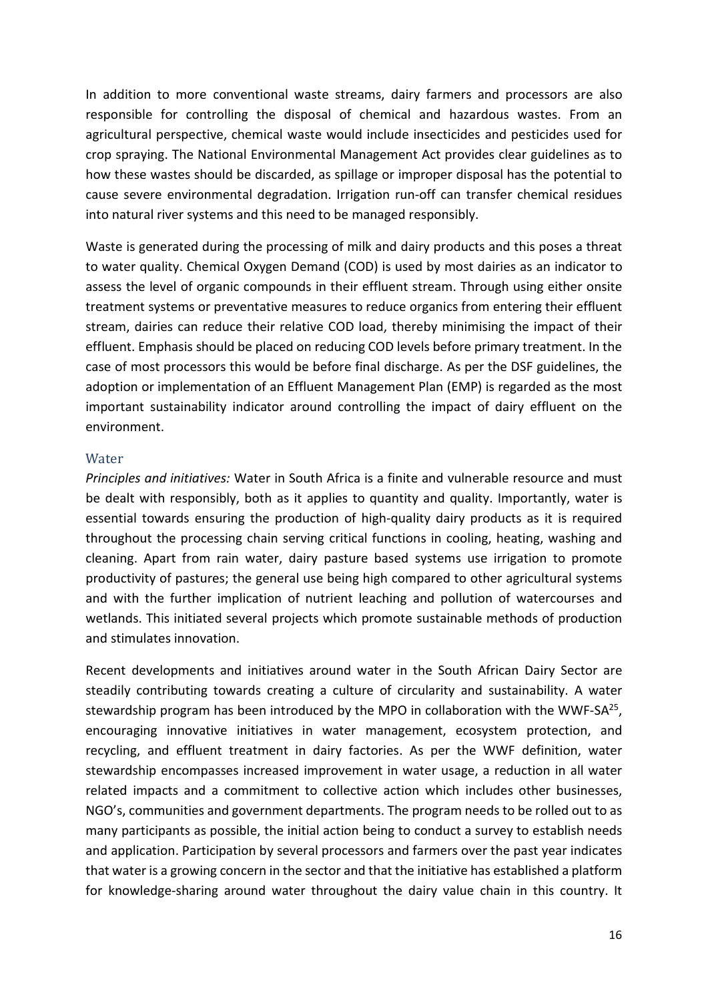In addition to more conventional waste streams, dairy farmers and processors are also responsible for controlling the disposal of chemical and hazardous wastes. From an agricultural perspective, chemical waste would include insecticides and pesticides used for crop spraying. The National Environmental Management Act provides clear guidelines as to how these wastes should be discarded, as spillage or improper disposal has the potential to cause severe environmental degradation. Irrigation run-off can transfer chemical residues into natural river systems and this need to be managed responsibly.

Waste is generated during the processing of milk and dairy products and this poses a threat to water quality. Chemical Oxygen Demand (COD) is used by most dairies as an indicator to assess the level of organic compounds in their effluent stream. Through using either onsite treatment systems or preventative measures to reduce organics from entering their effluent stream, dairies can reduce their relative COD load, thereby minimising the impact of their effluent. Emphasis should be placed on reducing COD levels before primary treatment. In the case of most processors this would be before final discharge. As per the DSF guidelines, the adoption or implementation of an Effluent Management Plan (EMP) is regarded as the most important sustainability indicator around controlling the impact of dairy effluent on the environment.

#### Water

Principles and initiatives: Water in South Africa is a finite and vulnerable resource and must be dealt with responsibly, both as it applies to quantity and quality. Importantly, water is essential towards ensuring the production of high-quality dairy products as it is required throughout the processing chain serving critical functions in cooling, heating, washing and cleaning. Apart from rain water, dairy pasture based systems use irrigation to promote productivity of pastures; the general use being high compared to other agricultural systems and with the further implication of nutrient leaching and pollution of watercourses and wetlands. This initiated several projects which promote sustainable methods of production and stimulates innovation.

Recent developments and initiatives around water in the South African Dairy Sector are steadily contributing towards creating a culture of circularity and sustainability. A water stewardship program has been introduced by the MPO in collaboration with the WWF-SA $^{25}$ , encouraging innovative initiatives in water management, ecosystem protection, and recycling, and effluent treatment in dairy factories. As per the WWF definition, water stewardship encompasses increased improvement in water usage, a reduction in all water related impacts and a commitment to collective action which includes other businesses, NGO's, communities and government departments. The program needs to be rolled out to as many participants as possible, the initial action being to conduct a survey to establish needs and application. Participation by several processors and farmers over the past year indicates that water is a growing concern in the sector and that the initiative has established a platform for knowledge-sharing around water throughout the dairy value chain in this country. It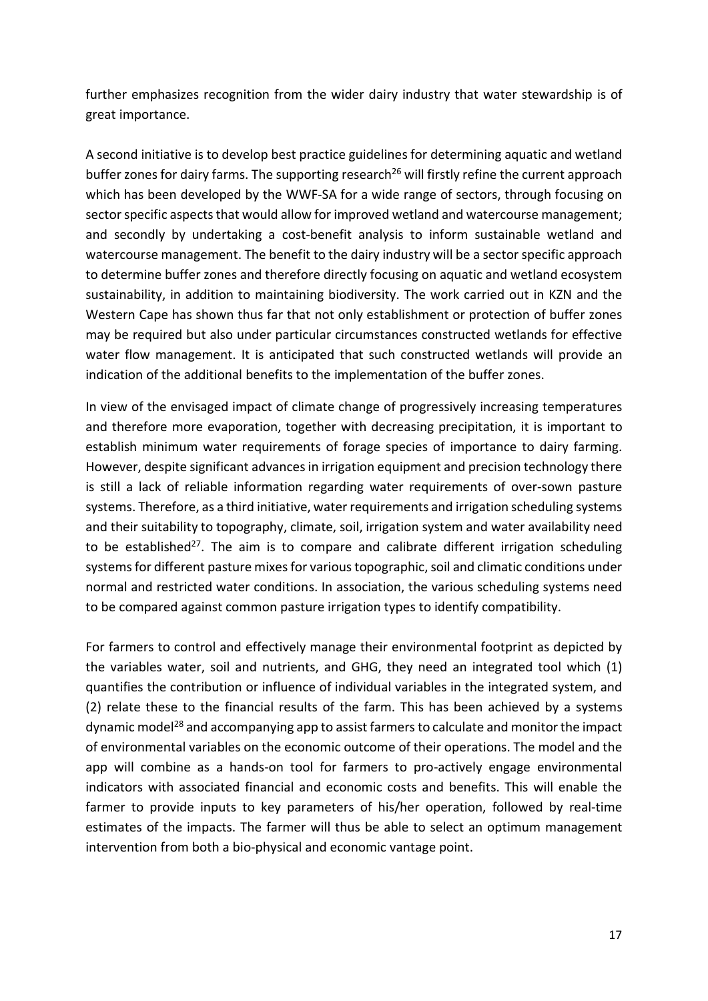further emphasizes recognition from the wider dairy industry that water stewardship is of great importance.

A second initiative is to develop best practice guidelines for determining aquatic and wetland buffer zones for dairy farms. The supporting research<sup>26</sup> will firstly refine the current approach which has been developed by the WWF-SA for a wide range of sectors, through focusing on sector specific aspects that would allow for improved wetland and watercourse management; and secondly by undertaking a cost-benefit analysis to inform sustainable wetland and watercourse management. The benefit to the dairy industry will be a sector specific approach to determine buffer zones and therefore directly focusing on aquatic and wetland ecosystem sustainability, in addition to maintaining biodiversity. The work carried out in KZN and the Western Cape has shown thus far that not only establishment or protection of buffer zones may be required but also under particular circumstances constructed wetlands for effective water flow management. It is anticipated that such constructed wetlands will provide an indication of the additional benefits to the implementation of the buffer zones.

In view of the envisaged impact of climate change of progressively increasing temperatures and therefore more evaporation, together with decreasing precipitation, it is important to establish minimum water requirements of forage species of importance to dairy farming. However, despite significant advances in irrigation equipment and precision technology there is still a lack of reliable information regarding water requirements of over-sown pasture systems. Therefore, as a third initiative, water requirements and irrigation scheduling systems and their suitability to topography, climate, soil, irrigation system and water availability need to be established<sup>27</sup>. The aim is to compare and calibrate different irrigation scheduling systems for different pasture mixes for various topographic, soil and climatic conditions under normal and restricted water conditions. In association, the various scheduling systems need to be compared against common pasture irrigation types to identify compatibility.

For farmers to control and effectively manage their environmental footprint as depicted by the variables water, soil and nutrients, and GHG, they need an integrated tool which (1) quantifies the contribution or influence of individual variables in the integrated system, and (2) relate these to the financial results of the farm. This has been achieved by a systems dynamic model<sup>28</sup> and accompanying app to assist farmers to calculate and monitor the impact of environmental variables on the economic outcome of their operations. The model and the app will combine as a hands-on tool for farmers to pro-actively engage environmental indicators with associated financial and economic costs and benefits. This will enable the farmer to provide inputs to key parameters of his/her operation, followed by real-time estimates of the impacts. The farmer will thus be able to select an optimum management intervention from both a bio-physical and economic vantage point.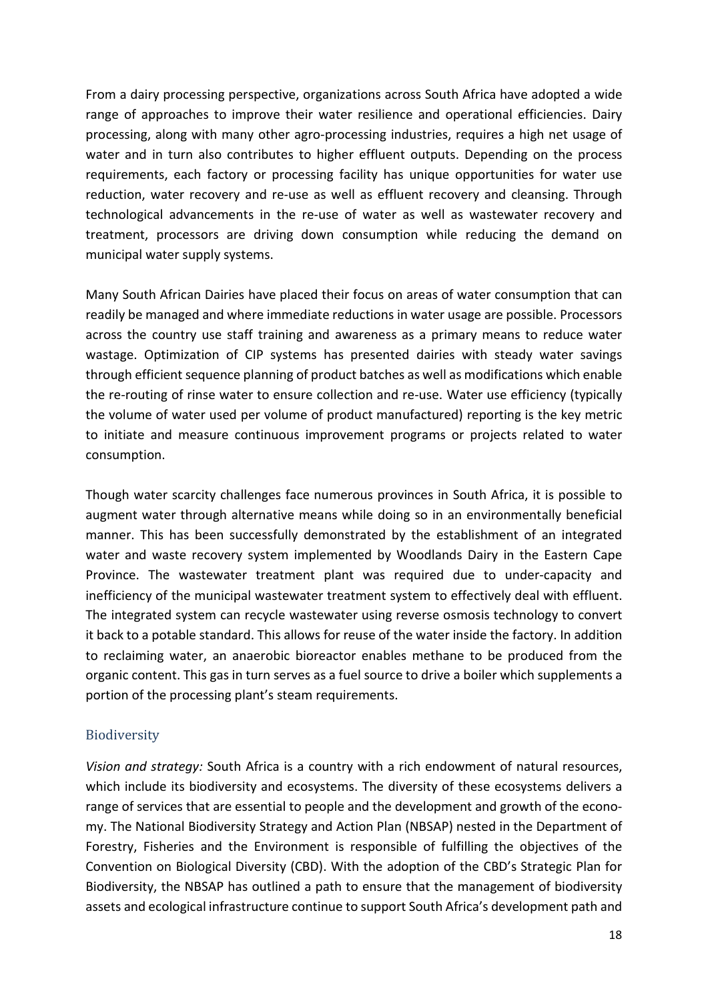From a dairy processing perspective, organizations across South Africa have adopted a wide range of approaches to improve their water resilience and operational efficiencies. Dairy processing, along with many other agro-processing industries, requires a high net usage of water and in turn also contributes to higher effluent outputs. Depending on the process requirements, each factory or processing facility has unique opportunities for water use reduction, water recovery and re-use as well as effluent recovery and cleansing. Through technological advancements in the re-use of water as well as wastewater recovery and treatment, processors are driving down consumption while reducing the demand on municipal water supply systems.

Many South African Dairies have placed their focus on areas of water consumption that can readily be managed and where immediate reductions in water usage are possible. Processors across the country use staff training and awareness as a primary means to reduce water wastage. Optimization of CIP systems has presented dairies with steady water savings through efficient sequence planning of product batches as well as modifications which enable the re-routing of rinse water to ensure collection and re-use. Water use efficiency (typically the volume of water used per volume of product manufactured) reporting is the key metric to initiate and measure continuous improvement programs or projects related to water consumption.

Though water scarcity challenges face numerous provinces in South Africa, it is possible to augment water through alternative means while doing so in an environmentally beneficial manner. This has been successfully demonstrated by the establishment of an integrated water and waste recovery system implemented by Woodlands Dairy in the Eastern Cape Province. The wastewater treatment plant was required due to under-capacity and inefficiency of the municipal wastewater treatment system to effectively deal with effluent. The integrated system can recycle wastewater using reverse osmosis technology to convert it back to a potable standard. This allows for reuse of the water inside the factory. In addition to reclaiming water, an anaerobic bioreactor enables methane to be produced from the organic content. This gas in turn serves as a fuel source to drive a boiler which supplements a portion of the processing plant's steam requirements.

## Biodiversity

Vision and strategy: South Africa is a country with a rich endowment of natural resources, which include its biodiversity and ecosystems. The diversity of these ecosystems delivers a range of services that are essential to people and the development and growth of the economy. The National Biodiversity Strategy and Action Plan (NBSAP) nested in the Department of Forestry, Fisheries and the Environment is responsible of fulfilling the objectives of the Convention on Biological Diversity (CBD). With the adoption of the CBD's Strategic Plan for Biodiversity, the NBSAP has outlined a path to ensure that the management of biodiversity assets and ecological infrastructure continue to support South Africa's development path and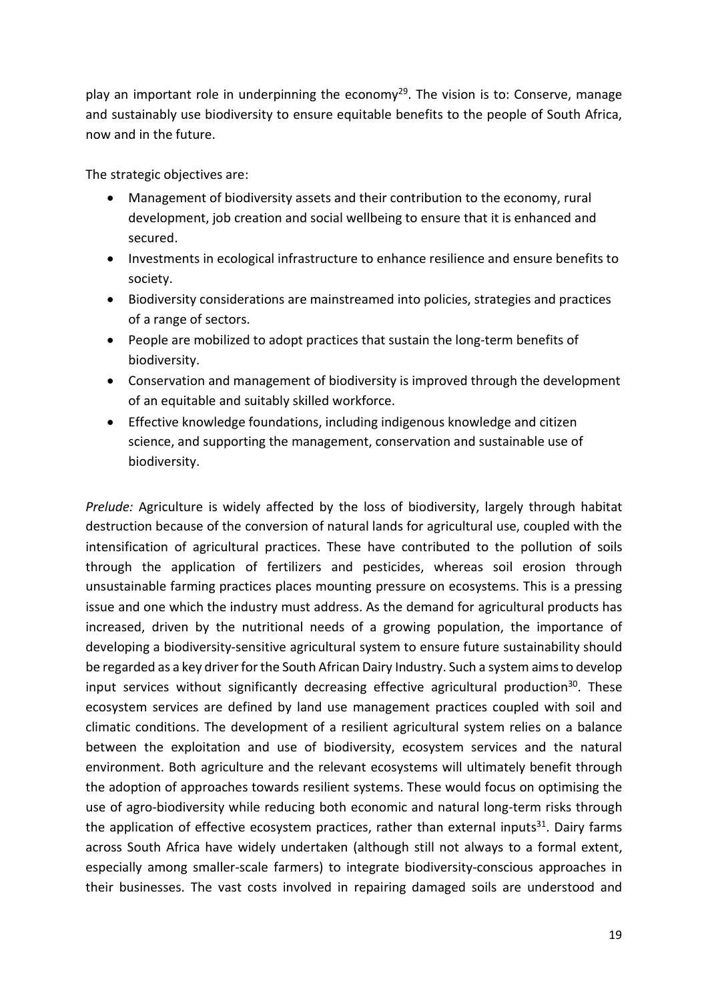play an important role in underpinning the economy<sup>29</sup>. The vision is to: Conserve, manage and sustainably use biodiversity to ensure equitable benefits to the people of South Africa, now and in the future.

The strategic objectives are:

- Management of biodiversity assets and their contribution to the economy, rural development, job creation and social wellbeing to ensure that it is enhanced and secured.
- Investments in ecological infrastructure to enhance resilience and ensure benefits to society.
- Biodiversity considerations are mainstreamed into policies, strategies and practices of a range of sectors.
- People are mobilized to adopt practices that sustain the long-term benefits of biodiversity.
- Conservation and management of biodiversity is improved through the development of an equitable and suitably skilled workforce.
- Effective knowledge foundations, including indigenous knowledge and citizen science, and supporting the management, conservation and sustainable use of biodiversity.

Prelude: Agriculture is widely affected by the loss of biodiversity, largely through habitat destruction because of the conversion of natural lands for agricultural use, coupled with the intensification of agricultural practices. These have contributed to the pollution of soils through the application of fertilizers and pesticides, whereas soil erosion through unsustainable farming practices places mounting pressure on ecosystems. This is a pressing issue and one which the industry must address. As the demand for agricultural products has increased, driven by the nutritional needs of a growing population, the importance of developing a biodiversity-sensitive agricultural system to ensure future sustainability should be regarded as a key driver for the South African Dairy Industry. Such a system aims to develop input services without significantly decreasing effective agricultural production<sup>30</sup>. These ecosystem services are defined by land use management practices coupled with soil and climatic conditions. The development of a resilient agricultural system relies on a balance between the exploitation and use of biodiversity, ecosystem services and the natural environment. Both agriculture and the relevant ecosystems will ultimately benefit through the adoption of approaches towards resilient systems. These would focus on optimising the use of agro-biodiversity while reducing both economic and natural long-term risks through the application of effective ecosystem practices, rather than external inputs<sup>31</sup>. Dairy farms across South Africa have widely undertaken (although still not always to a formal extent, especially among smaller-scale farmers) to integrate biodiversity-conscious approaches in their businesses. The vast costs involved in repairing damaged soils are understood and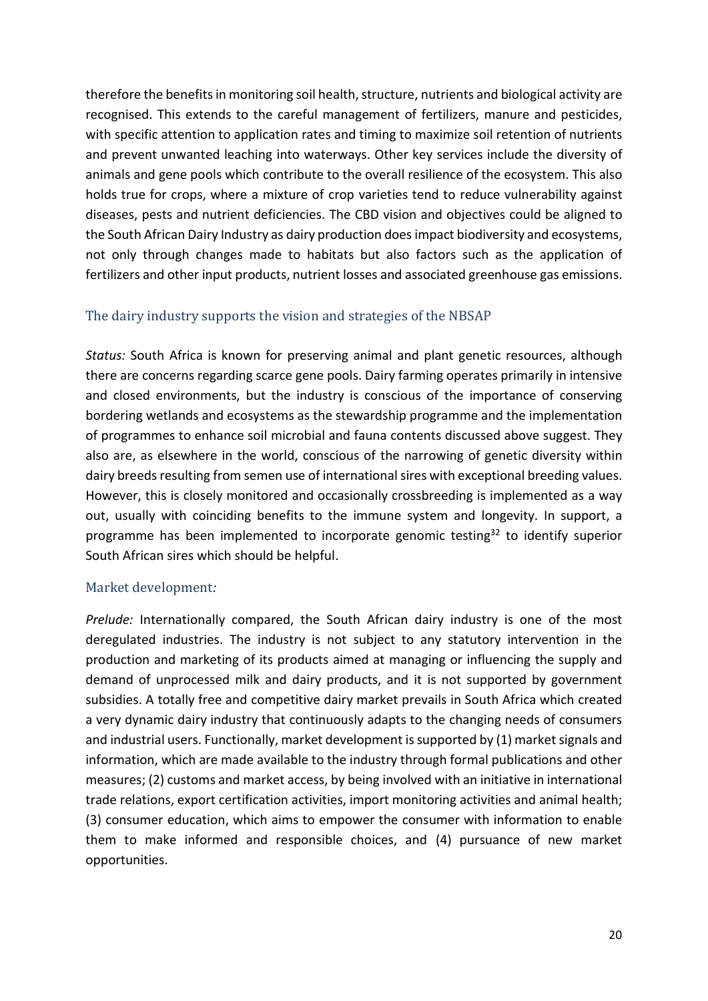therefore the benefits in monitoring soil health, structure, nutrients and biological activity are recognised. This extends to the careful management of fertilizers, manure and pesticides, with specific attention to application rates and timing to maximize soil retention of nutrients and prevent unwanted leaching into waterways. Other key services include the diversity of animals and gene pools which contribute to the overall resilience of the ecosystem. This also holds true for crops, where a mixture of crop varieties tend to reduce vulnerability against diseases, pests and nutrient deficiencies. The CBD vision and objectives could be aligned to the South African Dairy Industry as dairy production does impact biodiversity and ecosystems, not only through changes made to habitats but also factors such as the application of fertilizers and other input products, nutrient losses and associated greenhouse gas emissions.

## The dairy industry supports the vision and strategies of the NBSAP

Status: South Africa is known for preserving animal and plant genetic resources, although there are concerns regarding scarce gene pools. Dairy farming operates primarily in intensive and closed environments, but the industry is conscious of the importance of conserving bordering wetlands and ecosystems as the stewardship programme and the implementation of programmes to enhance soil microbial and fauna contents discussed above suggest. They also are, as elsewhere in the world, conscious of the narrowing of genetic diversity within dairy breeds resulting from semen use of international sires with exceptional breeding values. However, this is closely monitored and occasionally crossbreeding is implemented as a way out, usually with coinciding benefits to the immune system and longevity. In support, a programme has been implemented to incorporate genomic testing<sup>32</sup> to identify superior South African sires which should be helpful.

## Market development:

Prelude: Internationally compared, the South African dairy industry is one of the most deregulated industries. The industry is not subject to any statutory intervention in the production and marketing of its products aimed at managing or influencing the supply and demand of unprocessed milk and dairy products, and it is not supported by government subsidies. A totally free and competitive dairy market prevails in South Africa which created a very dynamic dairy industry that continuously adapts to the changing needs of consumers and industrial users. Functionally, market development is supported by (1) market signals and information, which are made available to the industry through formal publications and other measures; (2) customs and market access, by being involved with an initiative in international trade relations, export certification activities, import monitoring activities and animal health; (3) consumer education, which aims to empower the consumer with information to enable them to make informed and responsible choices, and (4) pursuance of new market opportunities.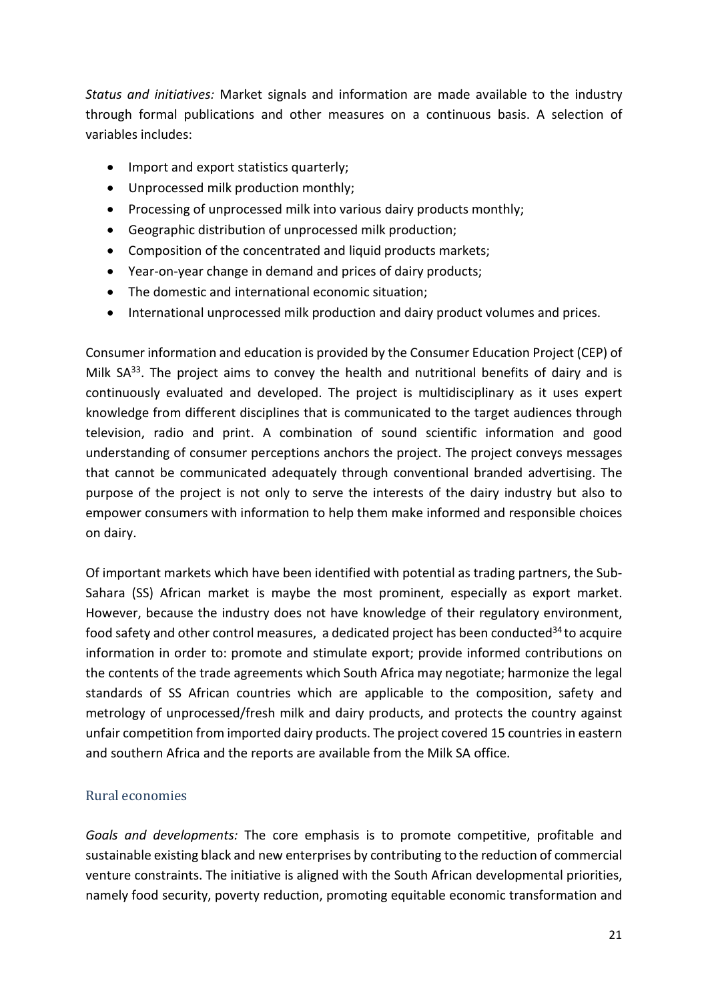Status and initiatives: Market signals and information are made available to the industry through formal publications and other measures on a continuous basis. A selection of variables includes:

- Import and export statistics quarterly;
- Unprocessed milk production monthly;
- Processing of unprocessed milk into various dairy products monthly;
- Geographic distribution of unprocessed milk production;
- Composition of the concentrated and liquid products markets;
- Year-on-year change in demand and prices of dairy products;
- The domestic and international economic situation;
- International unprocessed milk production and dairy product volumes and prices.

Consumer information and education is provided by the Consumer Education Project (CEP) of Milk  $SA^{33}$ . The project aims to convey the health and nutritional benefits of dairy and is continuously evaluated and developed. The project is multidisciplinary as it uses expert knowledge from different disciplines that is communicated to the target audiences through television, radio and print. A combination of sound scientific information and good understanding of consumer perceptions anchors the project. The project conveys messages that cannot be communicated adequately through conventional branded advertising. The purpose of the project is not only to serve the interests of the dairy industry but also to empower consumers with information to help them make informed and responsible choices on dairy.

Of important markets which have been identified with potential as trading partners, the Sub-Sahara (SS) African market is maybe the most prominent, especially as export market. However, because the industry does not have knowledge of their regulatory environment, food safety and other control measures, a dedicated project has been conducted $34$  to acquire information in order to: promote and stimulate export; provide informed contributions on the contents of the trade agreements which South Africa may negotiate; harmonize the legal standards of SS African countries which are applicable to the composition, safety and metrology of unprocessed/fresh milk and dairy products, and protects the country against unfair competition from imported dairy products. The project covered 15 countries in eastern and southern Africa and the reports are available from the Milk SA office.

## Rural economies

Goals and developments: The core emphasis is to promote competitive, profitable and sustainable existing black and new enterprises by contributing to the reduction of commercial venture constraints. The initiative is aligned with the South African developmental priorities, namely food security, poverty reduction, promoting equitable economic transformation and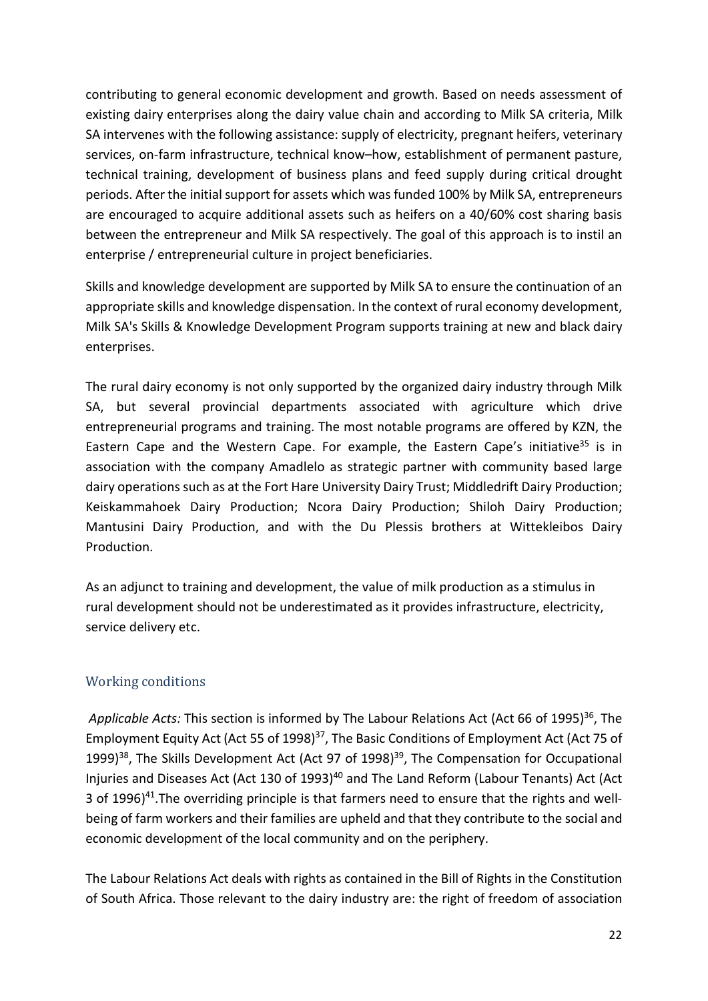contributing to general economic development and growth. Based on needs assessment of existing dairy enterprises along the dairy value chain and according to Milk SA criteria, Milk SA intervenes with the following assistance: supply of electricity, pregnant heifers, veterinary services, on-farm infrastructure, technical know–how, establishment of permanent pasture, technical training, development of business plans and feed supply during critical drought periods. After the initial support for assets which was funded 100% by Milk SA, entrepreneurs are encouraged to acquire additional assets such as heifers on a 40/60% cost sharing basis between the entrepreneur and Milk SA respectively. The goal of this approach is to instil an enterprise / entrepreneurial culture in project beneficiaries.

Skills and knowledge development are supported by Milk SA to ensure the continuation of an appropriate skills and knowledge dispensation. In the context of rural economy development, Milk SA's Skills & Knowledge Development Program supports training at new and black dairy enterprises.

The rural dairy economy is not only supported by the organized dairy industry through Milk SA, but several provincial departments associated with agriculture which drive entrepreneurial programs and training. The most notable programs are offered by KZN, the Eastern Cape and the Western Cape. For example, the Eastern Cape's initiative<sup>35</sup> is in association with the company Amadlelo as strategic partner with community based large dairy operations such as at the Fort Hare University Dairy Trust; Middledrift Dairy Production; Keiskammahoek Dairy Production; Ncora Dairy Production; Shiloh Dairy Production; Mantusini Dairy Production, and with the Du Plessis brothers at Wittekleibos Dairy Production.

As an adjunct to training and development, the value of milk production as a stimulus in rural development should not be underestimated as it provides infrastructure, electricity, service delivery etc.

## Working conditions

Applicable Acts: This section is informed by The Labour Relations Act (Act 66 of 1995)<sup>36</sup>, The Employment Equity Act (Act 55 of 1998)<sup>37</sup>, The Basic Conditions of Employment Act (Act 75 of 1999)<sup>38</sup>, The Skills Development Act (Act 97 of 1998)<sup>39</sup>, The Compensation for Occupational Injuries and Diseases Act (Act 130 of 1993)<sup>40</sup> and The Land Reform (Labour Tenants) Act (Act 3 of 1996) $41$ . The overriding principle is that farmers need to ensure that the rights and wellbeing of farm workers and their families are upheld and that they contribute to the social and economic development of the local community and on the periphery.

The Labour Relations Act deals with rights as contained in the Bill of Rights in the Constitution of South Africa. Those relevant to the dairy industry are: the right of freedom of association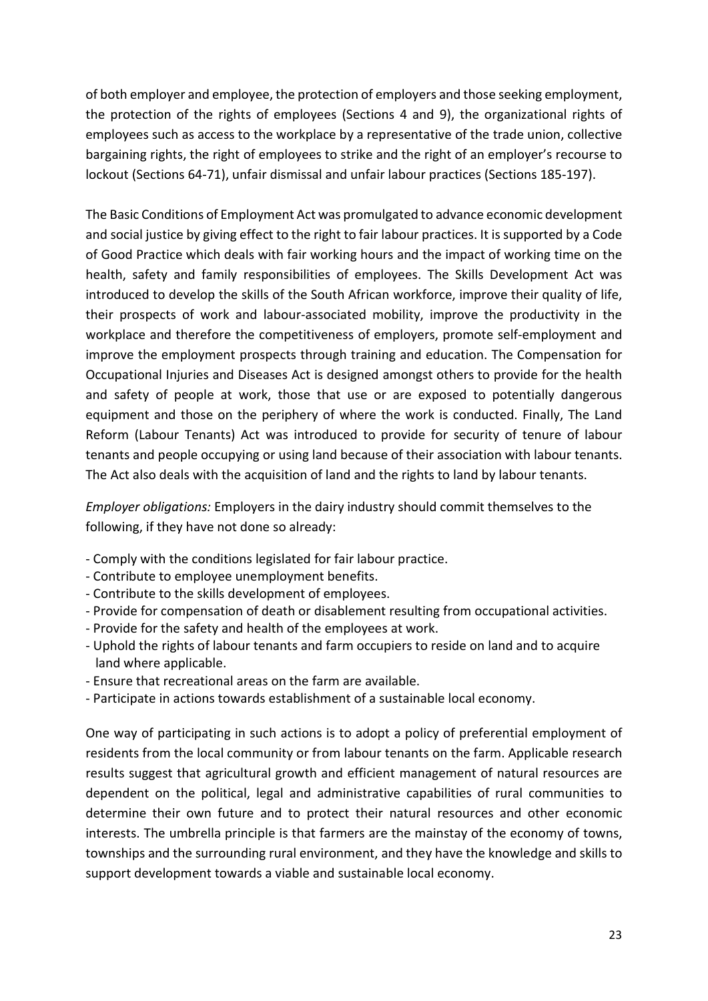of both employer and employee, the protection of employers and those seeking employment, the protection of the rights of employees (Sections 4 and 9), the organizational rights of employees such as access to the workplace by a representative of the trade union, collective bargaining rights, the right of employees to strike and the right of an employer's recourse to lockout (Sections 64-71), unfair dismissal and unfair labour practices (Sections 185-197).

The Basic Conditions of Employment Act was promulgated to advance economic development and social justice by giving effect to the right to fair labour practices. It is supported by a Code of Good Practice which deals with fair working hours and the impact of working time on the health, safety and family responsibilities of employees. The Skills Development Act was introduced to develop the skills of the South African workforce, improve their quality of life, their prospects of work and labour-associated mobility, improve the productivity in the workplace and therefore the competitiveness of employers, promote self-employment and improve the employment prospects through training and education. The Compensation for Occupational Injuries and Diseases Act is designed amongst others to provide for the health and safety of people at work, those that use or are exposed to potentially dangerous equipment and those on the periphery of where the work is conducted. Finally, The Land Reform (Labour Tenants) Act was introduced to provide for security of tenure of labour tenants and people occupying or using land because of their association with labour tenants. The Act also deals with the acquisition of land and the rights to land by labour tenants.

Employer obligations: Employers in the dairy industry should commit themselves to the following, if they have not done so already:

- Comply with the conditions legislated for fair labour practice.
- Contribute to employee unemployment benefits.
- Contribute to the skills development of employees.
- Provide for compensation of death or disablement resulting from occupational activities.
- Provide for the safety and health of the employees at work.
- Uphold the rights of labour tenants and farm occupiers to reside on land and to acquire land where applicable.
- Ensure that recreational areas on the farm are available.
- Participate in actions towards establishment of a sustainable local economy.

One way of participating in such actions is to adopt a policy of preferential employment of residents from the local community or from labour tenants on the farm. Applicable research results suggest that agricultural growth and efficient management of natural resources are dependent on the political, legal and administrative capabilities of rural communities to determine their own future and to protect their natural resources and other economic interests. The umbrella principle is that farmers are the mainstay of the economy of towns, townships and the surrounding rural environment, and they have the knowledge and skills to support development towards a viable and sustainable local economy.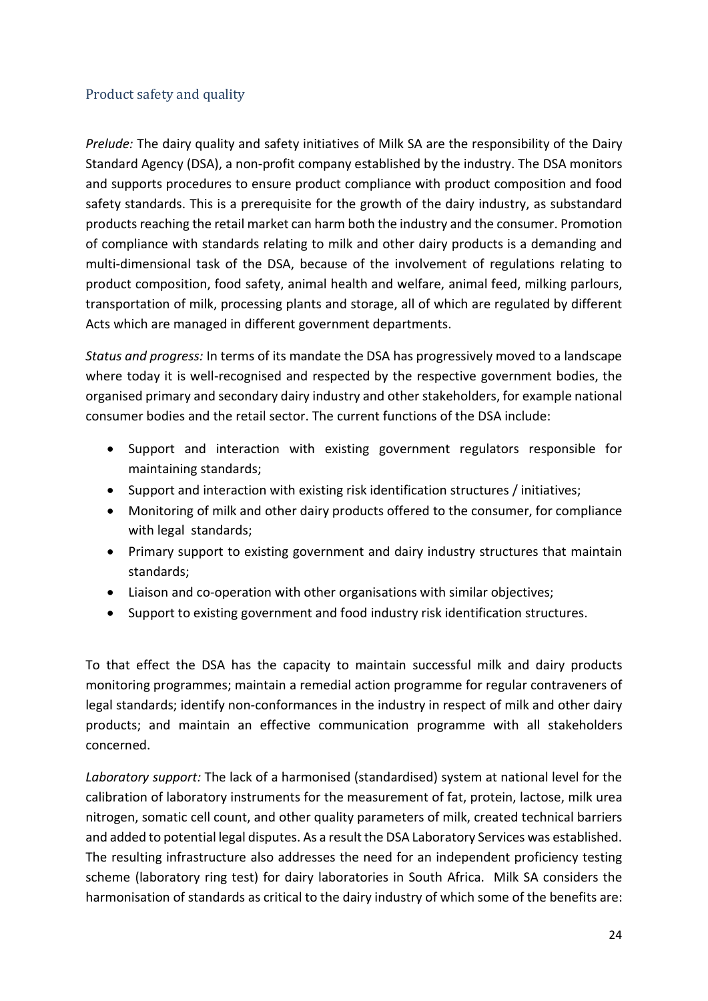## Product safety and quality

Prelude: The dairy quality and safety initiatives of Milk SA are the responsibility of the Dairy Standard Agency (DSA), a non-profit company established by the industry. The DSA monitors and supports procedures to ensure product compliance with product composition and food safety standards. This is a prerequisite for the growth of the dairy industry, as substandard products reaching the retail market can harm both the industry and the consumer. Promotion of compliance with standards relating to milk and other dairy products is a demanding and multi-dimensional task of the DSA, because of the involvement of regulations relating to product composition, food safety, animal health and welfare, animal feed, milking parlours, transportation of milk, processing plants and storage, all of which are regulated by different Acts which are managed in different government departments.

Status and progress: In terms of its mandate the DSA has progressively moved to a landscape where today it is well-recognised and respected by the respective government bodies, the organised primary and secondary dairy industry and other stakeholders, for example national consumer bodies and the retail sector. The current functions of the DSA include:

- Support and interaction with existing government regulators responsible for maintaining standards;
- Support and interaction with existing risk identification structures / initiatives;
- Monitoring of milk and other dairy products offered to the consumer, for compliance with legal standards;
- Primary support to existing government and dairy industry structures that maintain standards;
- Liaison and co-operation with other organisations with similar objectives;
- Support to existing government and food industry risk identification structures.

To that effect the DSA has the capacity to maintain successful milk and dairy products monitoring programmes; maintain a remedial action programme for regular contraveners of legal standards; identify non-conformances in the industry in respect of milk and other dairy products; and maintain an effective communication programme with all stakeholders concerned.

Laboratory support: The lack of a harmonised (standardised) system at national level for the calibration of laboratory instruments for the measurement of fat, protein, lactose, milk urea nitrogen, somatic cell count, and other quality parameters of milk, created technical barriers and added to potential legal disputes. As a result the DSA Laboratory Services was established. The resulting infrastructure also addresses the need for an independent proficiency testing scheme (laboratory ring test) for dairy laboratories in South Africa. Milk SA considers the harmonisation of standards as critical to the dairy industry of which some of the benefits are: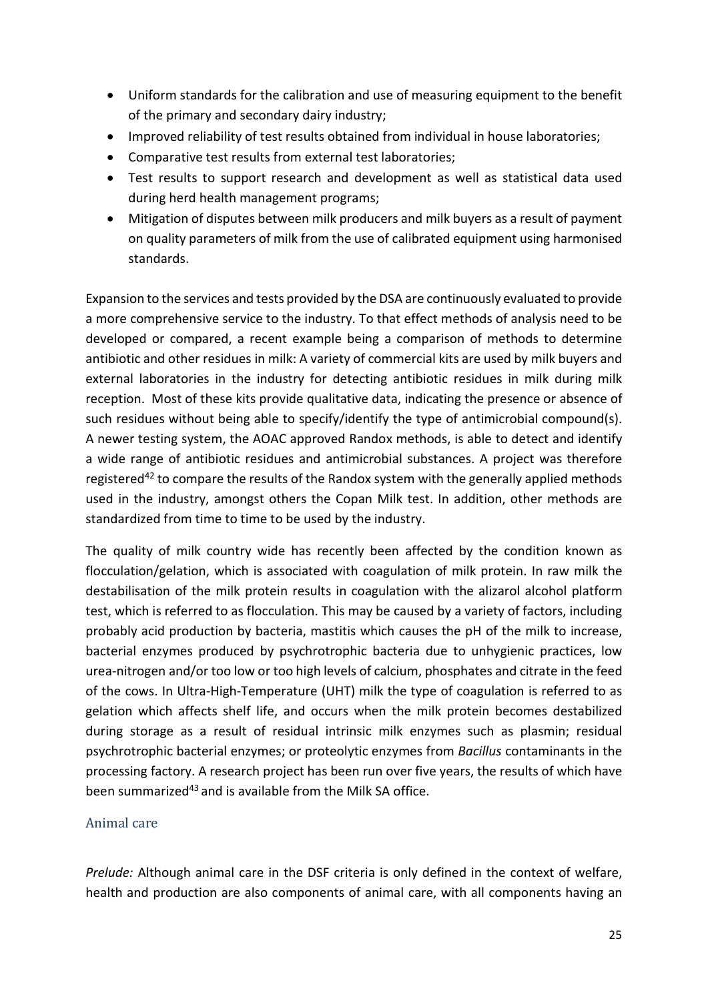- Uniform standards for the calibration and use of measuring equipment to the benefit of the primary and secondary dairy industry;
- Improved reliability of test results obtained from individual in house laboratories;
- Comparative test results from external test laboratories;
- Test results to support research and development as well as statistical data used during herd health management programs;
- Mitigation of disputes between milk producers and milk buyers as a result of payment on quality parameters of milk from the use of calibrated equipment using harmonised standards.

Expansion to the services and tests provided by the DSA are continuously evaluated to provide a more comprehensive service to the industry. To that effect methods of analysis need to be developed or compared, a recent example being a comparison of methods to determine antibiotic and other residues in milk: A variety of commercial kits are used by milk buyers and external laboratories in the industry for detecting antibiotic residues in milk during milk reception. Most of these kits provide qualitative data, indicating the presence or absence of such residues without being able to specify/identify the type of antimicrobial compound(s). A newer testing system, the AOAC approved Randox methods, is able to detect and identify a wide range of antibiotic residues and antimicrobial substances. A project was therefore registered<sup>42</sup> to compare the results of the Randox system with the generally applied methods used in the industry, amongst others the Copan Milk test. In addition, other methods are standardized from time to time to be used by the industry.

The quality of milk country wide has recently been affected by the condition known as flocculation/gelation, which is associated with coagulation of milk protein. In raw milk the destabilisation of the milk protein results in coagulation with the alizarol alcohol platform test, which is referred to as flocculation. This may be caused by a variety of factors, including probably acid production by bacteria, mastitis which causes the pH of the milk to increase, bacterial enzymes produced by psychrotrophic bacteria due to unhygienic practices, low urea-nitrogen and/or too low or too high levels of calcium, phosphates and citrate in the feed of the cows. In Ultra-High-Temperature (UHT) milk the type of coagulation is referred to as gelation which affects shelf life, and occurs when the milk protein becomes destabilized during storage as a result of residual intrinsic milk enzymes such as plasmin; residual psychrotrophic bacterial enzymes; or proteolytic enzymes from Bacillus contaminants in the processing factory. A research project has been run over five years, the results of which have been summarized<sup>43</sup> and is available from the Milk SA office.

## Animal care

Prelude: Although animal care in the DSF criteria is only defined in the context of welfare, health and production are also components of animal care, with all components having an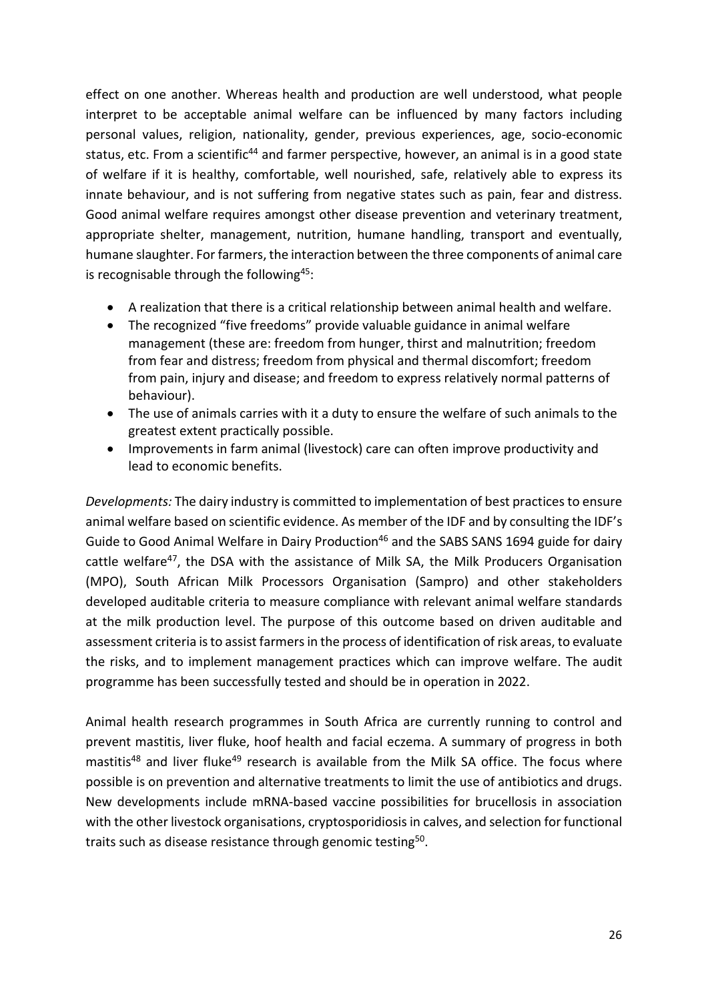effect on one another. Whereas health and production are well understood, what people interpret to be acceptable animal welfare can be influenced by many factors including personal values, religion, nationality, gender, previous experiences, age, socio-economic status, etc. From a scientific<sup>44</sup> and farmer perspective, however, an animal is in a good state of welfare if it is healthy, comfortable, well nourished, safe, relatively able to express its innate behaviour, and is not suffering from negative states such as pain, fear and distress. Good animal welfare requires amongst other disease prevention and veterinary treatment, appropriate shelter, management, nutrition, humane handling, transport and eventually, humane slaughter. For farmers, the interaction between the three components of animal care is recognisable through the following<sup>45</sup>:

- A realization that there is a critical relationship between animal health and welfare.
- The recognized "five freedoms" provide valuable guidance in animal welfare management (these are: freedom from hunger, thirst and malnutrition; freedom from fear and distress; freedom from physical and thermal discomfort; freedom from pain, injury and disease; and freedom to express relatively normal patterns of behaviour).
- The use of animals carries with it a duty to ensure the welfare of such animals to the greatest extent practically possible.
- Improvements in farm animal (livestock) care can often improve productivity and lead to economic benefits.

Developments: The dairy industry is committed to implementation of best practices to ensure animal welfare based on scientific evidence. As member of the IDF and by consulting the IDF's Guide to Good Animal Welfare in Dairy Production<sup>46</sup> and the SABS SANS 1694 guide for dairy cattle welfare<sup>47</sup>, the DSA with the assistance of Milk SA, the Milk Producers Organisation (MPO), South African Milk Processors Organisation (Sampro) and other stakeholders developed auditable criteria to measure compliance with relevant animal welfare standards at the milk production level. The purpose of this outcome based on driven auditable and assessment criteria is to assist farmers in the process of identification of risk areas, to evaluate the risks, and to implement management practices which can improve welfare. The audit programme has been successfully tested and should be in operation in 2022.

Animal health research programmes in South Africa are currently running to control and prevent mastitis, liver fluke, hoof health and facial eczema. A summary of progress in both mastitis<sup>48</sup> and liver fluke<sup>49</sup> research is available from the Milk SA office. The focus where possible is on prevention and alternative treatments to limit the use of antibiotics and drugs. New developments include mRNA-based vaccine possibilities for brucellosis in association with the other livestock organisations, cryptosporidiosis in calves, and selection for functional traits such as disease resistance through genomic testing<sup>50</sup>.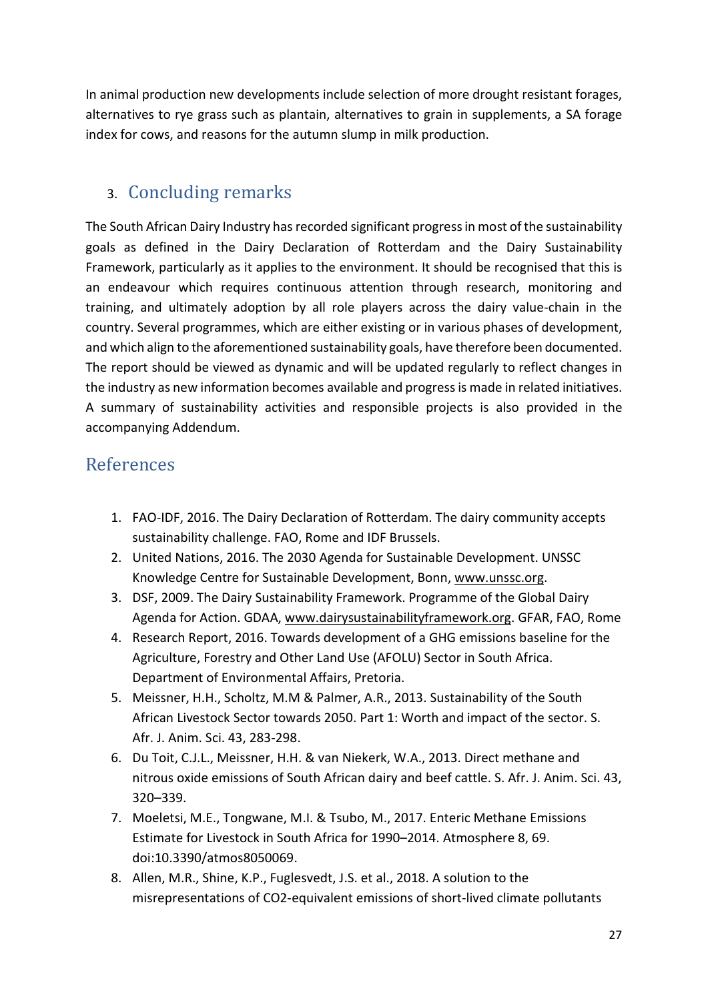In animal production new developments include selection of more drought resistant forages, alternatives to rye grass such as plantain, alternatives to grain in supplements, a SA forage index for cows, and reasons for the autumn slump in milk production.

# 3. Concluding remarks

The South African Dairy Industry has recorded significant progress in most of the sustainability goals as defined in the Dairy Declaration of Rotterdam and the Dairy Sustainability Framework, particularly as it applies to the environment. It should be recognised that this is an endeavour which requires continuous attention through research, monitoring and training, and ultimately adoption by all role players across the dairy value-chain in the country. Several programmes, which are either existing or in various phases of development, and which align to the aforementioned sustainability goals, have therefore been documented. The report should be viewed as dynamic and will be updated regularly to reflect changes in the industry as new information becomes available and progress is made in related initiatives. A summary of sustainability activities and responsible projects is also provided in the accompanying Addendum.

# References

- 1. FAO-IDF, 2016. The Dairy Declaration of Rotterdam. The dairy community accepts sustainability challenge. FAO, Rome and IDF Brussels.
- 2. United Nations, 2016. The 2030 Agenda for Sustainable Development. UNSSC Knowledge Centre for Sustainable Development, Bonn, www.unssc.org.
- 3. DSF, 2009. The Dairy Sustainability Framework. Programme of the Global Dairy Agenda for Action. GDAA, www.dairysustainabilityframework.org. GFAR, FAO, Rome
- 4. Research Report, 2016. Towards development of a GHG emissions baseline for the Agriculture, Forestry and Other Land Use (AFOLU) Sector in South Africa. Department of Environmental Affairs, Pretoria.
- 5. Meissner, H.H., Scholtz, M.M & Palmer, A.R., 2013. Sustainability of the South African Livestock Sector towards 2050. Part 1: Worth and impact of the sector. S. Afr. J. Anim. Sci. 43, 283-298.
- 6. Du Toit, C.J.L., Meissner, H.H. & van Niekerk, W.A., 2013. Direct methane and nitrous oxide emissions of South African dairy and beef cattle. S. Afr. J. Anim. Sci. 43, 320–339.
- 7. Moeletsi, M.E., Tongwane, M.I. & Tsubo, M., 2017. Enteric Methane Emissions Estimate for Livestock in South Africa for 1990–2014. Atmosphere 8, 69. doi:10.3390/atmos8050069.
- 8. Allen, M.R., Shine, K.P., Fuglesvedt, J.S. et al., 2018. A solution to the misrepresentations of CO2-equivalent emissions of short-lived climate pollutants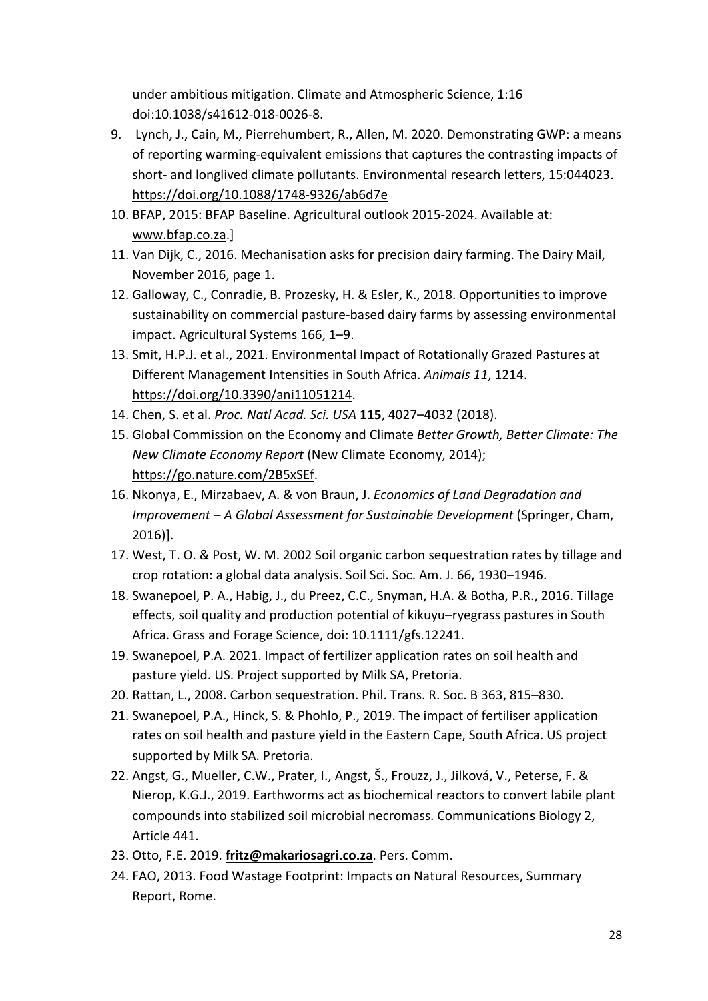under ambitious mitigation. Climate and Atmospheric Science, 1:16 doi:10.1038/s41612-018-0026-8.

- 9. Lynch, J., Cain, M., Pierrehumbert, R., Allen, M. 2020. Demonstrating GWP: a means of reporting warming-equivalent emissions that captures the contrasting impacts of short- and longlived climate pollutants. Environmental research letters, 15:044023. https://doi.org/10.1088/1748-9326/ab6d7e
- 10. BFAP, 2015: BFAP Baseline. Agricultural outlook 2015-2024. Available at: www.bfap.co.za.]
- 11. Van Dijk, C., 2016. Mechanisation asks for precision dairy farming. The Dairy Mail, November 2016, page 1.
- 12. Galloway, C., Conradie, B. Prozesky, H. & Esler, K., 2018. Opportunities to improve sustainability on commercial pasture-based dairy farms by assessing environmental impact. Agricultural Systems 166, 1–9.
- 13. Smit, H.P.J. et al., 2021. Environmental Impact of Rotationally Grazed Pastures at Different Management Intensities in South Africa. Animals 11, 1214. https://doi.org/10.3390/ani11051214.
- 14. Chen, S. et al. Proc. Natl Acad. Sci. USA 115, 4027–4032 (2018).
- 15. Global Commission on the Economy and Climate Better Growth, Better Climate: The New Climate Economy Report (New Climate Economy, 2014); https://go.nature.com/2B5xSEf.
- 16. Nkonya, E., Mirzabaev, A. & von Braun, J. Economics of Land Degradation and Improvement – A Global Assessment for Sustainable Development (Springer, Cham, 2016)].
- 17. West, T. O. & Post, W. M. 2002 Soil organic carbon sequestration rates by tillage and crop rotation: a global data analysis. Soil Sci. Soc. Am. J. 66, 1930–1946.
- 18. Swanepoel, P. A., Habig, J., du Preez, C.C., Snyman, H.A. & Botha, P.R., 2016. Tillage effects, soil quality and production potential of kikuyu–ryegrass pastures in South Africa. Grass and Forage Science, doi: 10.1111/gfs.12241.
- 19. Swanepoel, P.A. 2021. Impact of fertilizer application rates on soil health and pasture yield. US. Project supported by Milk SA, Pretoria.
- 20. Rattan, L., 2008. Carbon sequestration. Phil. Trans. R. Soc. B 363, 815–830.
- 21. Swanepoel, P.A., Hinck, S. & Phohlo, P., 2019. The impact of fertiliser application rates on soil health and pasture yield in the Eastern Cape, South Africa. US project supported by Milk SA. Pretoria.
- 22. Angst, G., Mueller, C.W., Prater, I., Angst, Š., Frouzz, J., Jilková, V., Peterse, F. & Nierop, K.G.J., 2019. Earthworms act as biochemical reactors to convert labile plant compounds into stabilized soil microbial necromass. Communications Biology 2, Article 441.
- 23. Otto, F.E. 2019. fritz@makariosagri.co.za. Pers. Comm.
- 24. FAO, 2013. Food Wastage Footprint: Impacts on Natural Resources, Summary Report, Rome.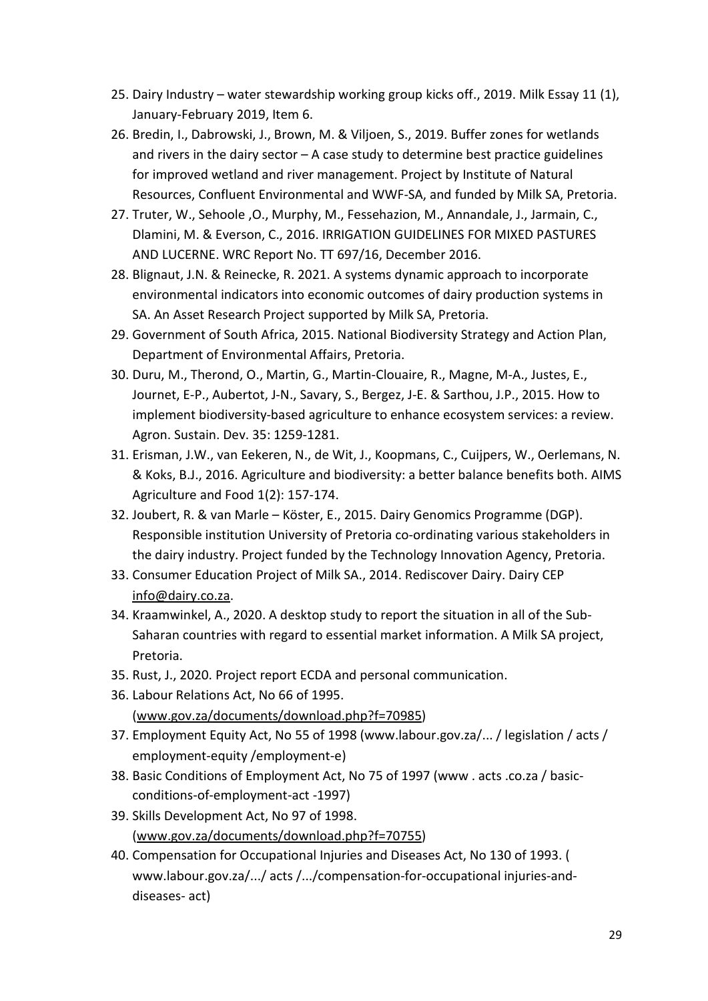- 25. Dairy Industry water stewardship working group kicks off., 2019. Milk Essay 11 (1), January-February 2019, Item 6.
- 26. Bredin, I., Dabrowski, J., Brown, M. & Viljoen, S., 2019. Buffer zones for wetlands and rivers in the dairy sector  $-$  A case study to determine best practice guidelines for improved wetland and river management. Project by Institute of Natural Resources, Confluent Environmental and WWF-SA, and funded by Milk SA, Pretoria.
- 27. Truter, W., Sehoole ,O., Murphy, M., Fessehazion, M., Annandale, J., Jarmain, C., Dlamini, M. & Everson, C., 2016. IRRIGATION GUIDELINES FOR MIXED PASTURES AND LUCERNE. WRC Report No. TT 697/16, December 2016.
- 28. Blignaut, J.N. & Reinecke, R. 2021. A systems dynamic approach to incorporate environmental indicators into economic outcomes of dairy production systems in SA. An Asset Research Project supported by Milk SA, Pretoria.
- 29. Government of South Africa, 2015. National Biodiversity Strategy and Action Plan, Department of Environmental Affairs, Pretoria.
- 30. Duru, M., Therond, O., Martin, G., Martin-Clouaire, R., Magne, M-A., Justes, E., Journet, E-P., Aubertot, J-N., Savary, S., Bergez, J-E. & Sarthou, J.P., 2015. How to implement biodiversity-based agriculture to enhance ecosystem services: a review. Agron. Sustain. Dev. 35: 1259-1281.
- 31. Erisman, J.W., van Eekeren, N., de Wit, J., Koopmans, C., Cuijpers, W., Oerlemans, N. & Koks, B.J., 2016. Agriculture and biodiversity: a better balance benefits both. AIMS Agriculture and Food 1(2): 157-174.
- 32. Joubert, R. & van Marle Köster, E., 2015. Dairy Genomics Programme (DGP). Responsible institution University of Pretoria co-ordinating various stakeholders in the dairy industry. Project funded by the Technology Innovation Agency, Pretoria.
- 33. Consumer Education Project of Milk SA., 2014. Rediscover Dairy. Dairy CEP info@dairy.co.za.
- 34. Kraamwinkel, A., 2020. A desktop study to report the situation in all of the Sub-Saharan countries with regard to essential market information. A Milk SA project, Pretoria.
- 35. Rust, J., 2020. Project report ECDA and personal communication.
- 36. Labour Relations Act, No 66 of 1995. (www.gov.za/documents/download.php?f=70985)
- 37. Employment Equity Act, No 55 of 1998 (www.labour.gov.za/... / legislation / acts / employment-equity /employment-e)
- 38. Basic Conditions of Employment Act, No 75 of 1997 (www . acts .co.za / basicconditions-of-employment-act -1997)
- 39. Skills Development Act, No 97 of 1998. (www.gov.za/documents/download.php?f=70755)
- 40. Compensation for Occupational Injuries and Diseases Act, No 130 of 1993. ( www.labour.gov.za/.../ acts /.../compensation-for-occupational injuries-anddiseases- act)